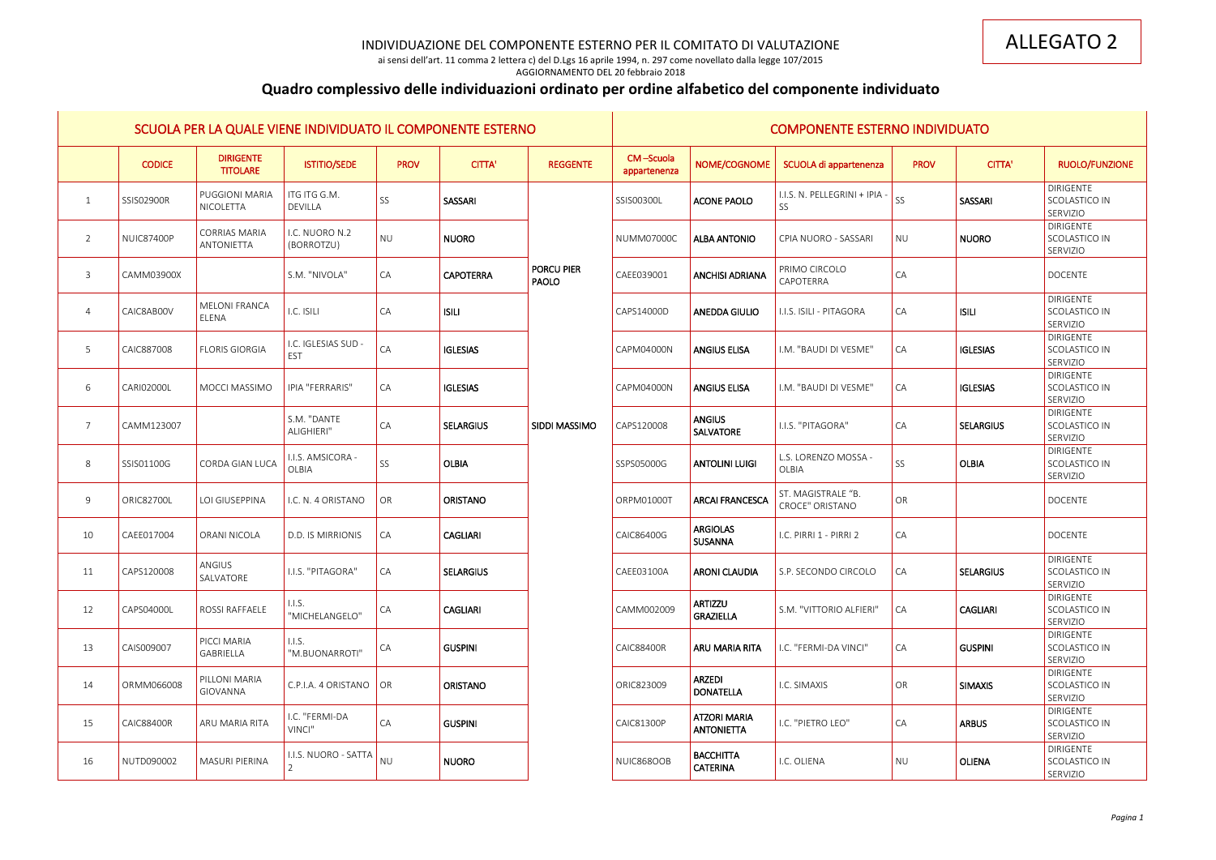ai sensi dell'art. 11 comma 2 lettera c) del D.Lgs 16 aprile 1994, n. 297 come novellato dalla legge 107/2015 AGGIORNAMENTO DEL 20 febbraio 2018

# **Quadro complessivo delle individuazioni ordinato per ordine alfabetico del componente individuato**

|                |                   |                                      | SCUOLA PER LA QUALE VIENE INDIVIDUATO IL COMPONENTE ESTERNO |                       |                  |                            |                           |                                          | <b>COMPONENTE ESTERNO INDIVIDUATO</b> |                        |                  |                                               |
|----------------|-------------------|--------------------------------------|-------------------------------------------------------------|-----------------------|------------------|----------------------------|---------------------------|------------------------------------------|---------------------------------------|------------------------|------------------|-----------------------------------------------|
|                | <b>CODICE</b>     | <b>DIRIGENTE</b><br><b>TITOLARE</b>  | <b>ISTITIO/SEDE</b>                                         | <b>PROV</b>           | <b>CITTA'</b>    | <b>REGGENTE</b>            | CM-Scuola<br>appartenenza | NOME/COGNOME                             | SCUOLA di appartenenza                | <b>PROV</b>            | <b>CITTA'</b>    | RUOLO/FUNZIONE                                |
| 1              | SSIS02900R        | <b>PUGGIONI MARIA</b><br>NICOLETTA   | ITG ITG G.M.<br><b>DEVILLA</b>                              | SS                    | <b>SASSARI</b>   |                            | SSIS00300L                | <b>ACONE PAOLO</b>                       | I.I.S. N. PELLEGRINI + IPIA<br>SS     | SS                     | SASSARI          | <b>DIRIGENTE</b><br>SCOLASTICO IN<br>SERVIZIO |
| 2              | NUIC87400P        | <b>CORRIAS MARIA</b><br>ANTONIETTA   | I.C. NUORO N.2<br>(BORROTZU)                                | <b>NU</b>             | <b>NUORO</b>     |                            | <b>NUMM07000C</b>         | <b>ALBA ANTONIO</b>                      | CPIA NUORO - SASSARI                  | <b>NU</b>              | <b>NUORO</b>     | <b>DIRIGENTE</b><br>SCOLASTICO IN<br>SERVIZIO |
| 3              | CAMM03900X        |                                      | S.M. "NIVOLA"                                               | CA                    | <b>CAPOTERRA</b> | <b>PORCU PIER</b><br>PAOLO | CAEE039001                | <b>ANCHISI ADRIANA</b>                   | PRIMO CIRCOLO<br>CAPOTERRA            | CA                     |                  | <b>DOCENTE</b>                                |
| $\overline{4}$ | CAIC8AB00V        | <b>MELONI FRANCA</b><br><b>ELENA</b> | I.C. ISILI                                                  | CA                    | <b>ISILI</b>     |                            | CAPS14000D                | <b>ANEDDA GIULIO</b>                     | I.I.S. ISILI - PITAGORA               | CA                     | <b>ISILI</b>     | <b>DIRIGENTE</b><br>SCOLASTICO IN<br>SERVIZIO |
| 5              | CAIC887008        | <b>FLORIS GIORGIA</b>                | I.C. IGLESIAS SUD -<br><b>EST</b>                           | CA                    | <b>IGLESIAS</b>  |                            | CAPM04000N                | <b>ANGIUS ELISA</b>                      | I.M. "BAUDI DI VESME"                 | CA                     | <b>IGLESIAS</b>  | DIRIGENTE<br>SCOLASTICO IN<br>SERVIZIO        |
| 6              | CARI02000L        | MOCCI MASSIMO                        | <b>IPIA "FERRARIS"</b>                                      | CA                    | <b>IGLESIAS</b>  |                            | CAPM04000N                | <b>ANGIUS ELISA</b>                      | I.M. "BAUDI DI VESME"                 | CA                     | <b>IGLESIAS</b>  | DIRIGENTE<br>SCOLASTICO IN<br>SERVIZIO        |
| 7              | CAMM123007        |                                      | S.M. "DANTE<br>ALIGHIERI"                                   | CA                    | <b>SELARGIUS</b> | <b>SIDDI MASSIMO</b>       | CAPS120008                | <b>ANGIUS</b><br>SALVATORE               | I.I.S. "PITAGORA"                     | CA                     | <b>SELARGIUS</b> | <b>DIRIGENTE</b><br>SCOLASTICO IN<br>SERVIZIO |
| 8              | SSIS01100G        | <b>CORDA GIAN LUCA</b>               | I.I.S. AMSICORA -<br>OLBIA                                  | SS                    | <b>OLBIA</b>     |                            | SSPS05000G                | <b>ANTOLINI LUIGI</b>                    | L.S. LORENZO MOSSA -<br><b>OLBIA</b>  | <b>SS</b>              | <b>OLBIA</b>     | <b>DIRIGENTE</b><br>SCOLASTICO IN<br>SERVIZIO |
| 9              | <b>ORIC82700L</b> | LOI GIUSEPPINA                       | I.C. N. 4 ORISTANO                                          | OR                    | <b>ORISTANO</b>  |                            | ORPM01000T                | <b>ARCAI FRANCESCA</b>                   | ST. MAGISTRALE "B.<br>CROCE" ORISTANO | OR                     |                  | <b>DOCENTE</b>                                |
| 10             | CAEE017004        | <b>ORANI NICOLA</b>                  | D.D. IS MIRRIONIS                                           | CA                    | <b>CAGLIARI</b>  |                            | CAIC86400G                | <b>ARGIOLAS</b><br><b>SUSANNA</b>        | I.C. PIRRI 1 - PIRRI 2                | CA                     |                  | DOCENTE                                       |
| 11             | CAPS120008        | ANGIUS<br>SALVATORE                  | I.I.S. "PITAGORA"                                           | $\mathsf{CA}$         | SELARGIUS        |                            | CAEE03100A                | <b>ARONI CLAUDIA</b>                     | S.P. SECONDO CIRCOLO                  | $\mathsf{C}\mathsf{A}$ | <b>SELARGIUS</b> | <b>DIRIGENTE</b><br>SCOLASTICO IN<br>SERVIZIO |
| 12             | CAPS04000L        | <b>ROSSI RAFFAELE</b>                | 1.1.5.<br>"MICHELANGELO"                                    | CA                    | <b>CAGLIARI</b>  |                            | CAMM002009                | <b>ARTIZZU</b><br>GRAZIELLA              | S.M. "VITTORIO ALFIERI"               | CA                     | <b>CAGLIARI</b>  | DIRIGENTE<br>SCOLASTICO IN<br>SERVIZIO        |
| 13             | CAIS009007        | PICCI MARIA<br>GABRIELLA             | $\vert$ I.I.S.<br>"M.BUONARROTI"                            | CA                    | <b>GUSPINI</b>   |                            | <b>CAIC88400R</b>         | <b>ARU MARIA RITA</b>                    | I.C. "FERMI-DA VINCI"                 | CA                     | <b>GUSPINI</b>   | <b>DIRIGENTE</b><br>SCOLASTICO IN<br>SERVIZIO |
| 14             | ORMM066008        | PILLONI MARIA<br>GIOVANNA            | C.P.I.A. 4 ORISTANO                                         | $\overline{\bigcirc}$ | <b>ORISTANO</b>  |                            | ORIC823009                | ARZEDI<br><b>DONATELLA</b>               | I.C. SIMAXIS                          | OR                     | <b>SIMAXIS</b>   | <b>DIRIGENTE</b><br>SCOLASTICO IN<br>SERVIZIO |
| 15             | <b>CAIC88400R</b> | ARU MARIA RITA                       | I.C. "FERMI-DA<br>VINCI"                                    | CA                    | <b>GUSPINI</b>   |                            | <b>CAIC81300P</b>         | <b>ATZORI MARIA</b><br><b>ANTONIETTA</b> | I.C. "PIETRO LEO"                     | CA                     | <b>ARBUS</b>     | DIRIGENTE<br>SCOLASTICO IN<br>SERVIZIO        |
| 16             | NUTD090002        | <b>MASURI PIERINA</b>                | I.I.S. NUORO - SATTA                                        | <b>NU</b>             | <b>NUORO</b>     |                            | NUIC868OOB                | <b>BACCHITTA</b><br><b>CATERINA</b>      | I.C. OLIENA                           | NU                     | <b>OLIENA</b>    | DIRIGENTE<br>SCOLASTICO IN<br>SERVIZIO        |
|                |                   |                                      |                                                             |                       |                  |                            |                           |                                          |                                       |                        |                  |                                               |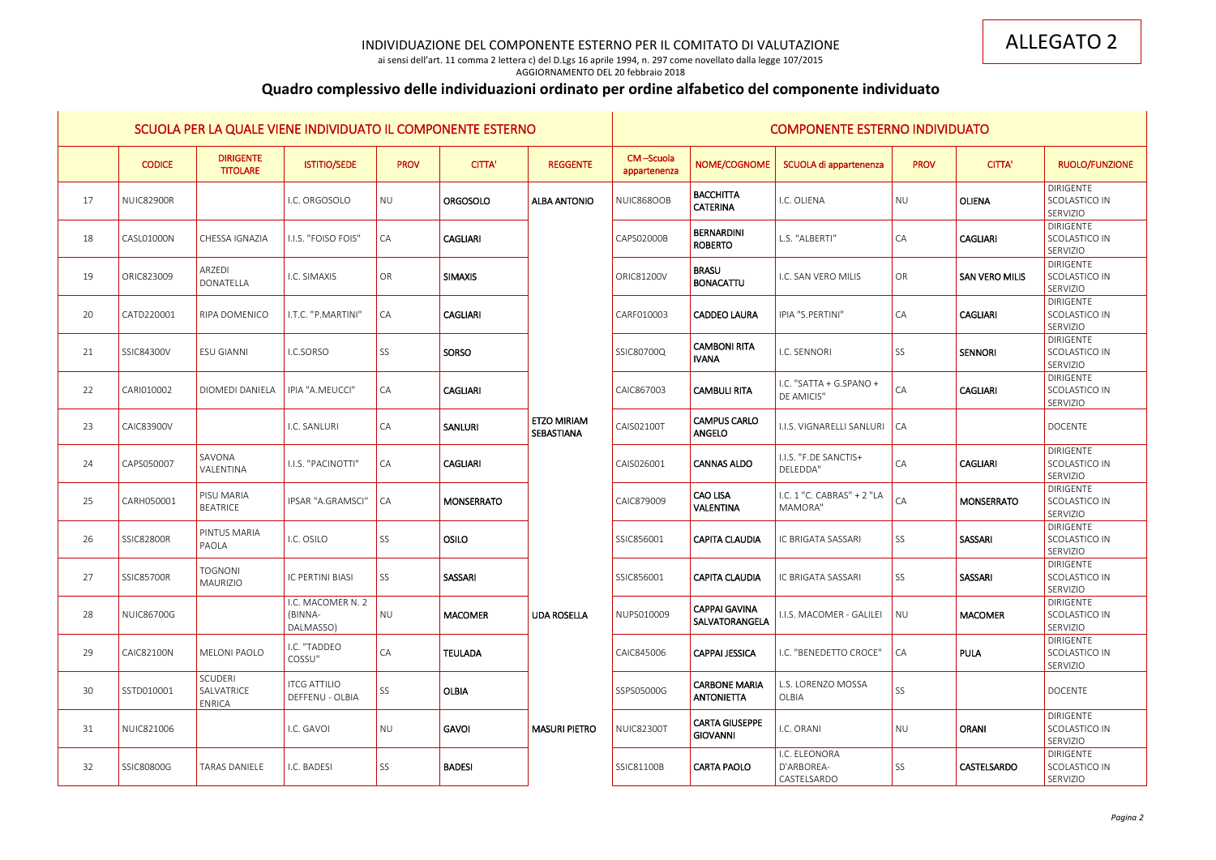ai sensi dell'art. 11 comma 2 lettera c) del D.Lgs 16 aprile 1994, n. 297 come novellato dalla legge 107/2015

### AGGIORNAMENTO DEL 20 febbraio 2018

# **Quadro complessivo delle individuazioni ordinato per ordine alfabetico del componente individuato**

|    |                   |                                               | SCUOLA PER LA QUALE VIENE INDIVIDUATO IL COMPONENTE ESTERNO |             |                   |                                  |                           |                                           | <b>COMPONENTE ESTERNO INDIVIDUATO</b>      |                 |                       |                                                      |
|----|-------------------|-----------------------------------------------|-------------------------------------------------------------|-------------|-------------------|----------------------------------|---------------------------|-------------------------------------------|--------------------------------------------|-----------------|-----------------------|------------------------------------------------------|
|    | <b>CODICE</b>     | <b>DIRIGENTE</b><br><b>TITOLARE</b>           | <b>ISTITIO/SEDE</b>                                         | <b>PROV</b> | <b>CITTA'</b>     | <b>REGGENTE</b>                  | CM-Scuola<br>appartenenza | NOME/COGNOME                              | SCUOLA di appartenenza                     | <b>PROV</b>     | <b>CITTA'</b>         | RUOLO/FUNZIONE                                       |
| 17 | <b>NUIC82900R</b> |                                               | I.C. ORGOSOLO                                               | <b>NU</b>   | <b>ORGOSOLO</b>   | <b>ALBA ANTONIO</b>              | NUIC868OOB                | <b>BACCHITTA</b><br><b>CATERINA</b>       | I.C. OLIENA                                | NU              | <b>OLIENA</b>         | DIRIGENTE<br>SCOLASTICO IN<br>SERVIZIO               |
| 18 | CASL01000N        | CHESSA IGNAZIA                                | I.I.S. "FOISO FOIS"                                         | CA          | <b>CAGLIARI</b>   |                                  | CAPS02000B                | <b>BERNARDINI</b><br><b>ROBERTO</b>       | L.S. "ALBERTI"                             | <b>CA</b>       | <b>CAGLIARI</b>       | <b>DIRIGENTE</b><br>SCOLASTICO IN<br>SERVIZIO        |
| 19 | ORIC823009        | ARZEDI<br>DONATELLA                           | I.C. SIMAXIS                                                | OR          | <b>SIMAXIS</b>    |                                  | ORIC81200V                | <b>BRASU</b><br><b>BONACATTU</b>          | I.C. SAN VERO MILIS                        | OR              | <b>SAN VERO MILIS</b> | <b>DIRIGENTE</b><br>SCOLASTICO IN<br>SERVIZIO        |
| 20 | CATD220001        | RIPA DOMENICO                                 | I.T.C. "P.MARTINI"                                          | CA          | <b>CAGLIARI</b>   |                                  | CARF010003                | <b>CADDEO LAURA</b>                       | IPIA "S.PERTINI"                           | <b>CA</b>       | <b>CAGLIARI</b>       | <b>DIRIGENTE</b><br>SCOLASTICO IN<br>SERVIZIO        |
| 21 | SSIC84300V        | <b>ESU GIANNI</b>                             | I.C.SORSO                                                   | SS          | SORSO             |                                  | SSIC80700Q                | <b>CAMBONI RITA</b><br><b>IVANA</b>       | I.C. SENNORI                               | <b>SS</b>       | <b>SENNORI</b>        | <b>DIRIGENTE</b><br>SCOLASTICO IN<br>SERVIZIO        |
| 22 | CARI010002        | DIOMEDI DANIELA                               | IPIA "A.MEUCCI"                                             | CA          | <b>CAGLIARI</b>   |                                  | CAIC867003                | <b>CAMBULI RITA</b>                       | I.C. "SATTA + G.SPANO +<br>DE AMICIS"      | CA              | <b>CAGLIARI</b>       | <b>DIRIGENTE</b><br>SCOLASTICO IN<br>SERVIZIO        |
| 23 | <b>CAIC83900V</b> |                                               | I.C. SANLURI                                                | CA          | <b>SANLURI</b>    | <b>ETZO MIRIAM</b><br>SEBASTIANA | CAIS02100T                | <b>CAMPUS CARLO</b><br><b>ANGELO</b>      | I.I.S. VIGNARELLI SANLURI   CA             |                 |                       | <b>DOCENTE</b>                                       |
| 24 | CAPS050007        | SAVONA<br>VALENTINA                           | I.I.S. "PACINOTTI"                                          | CA          | <b>CAGLIARI</b>   |                                  | CAIS026001                | <b>CANNAS ALDO</b>                        | I.I.S. "F.DE SANCTIS+<br>DELEDDA"          | CA              | <b>CAGLIARI</b>       | <b>DIRIGENTE</b><br>SCOLASTICO IN<br>SERVIZIO        |
| 25 | CARH050001        | PISU MARIA<br><b>BEATRICE</b>                 | IPSAR "A.GRAMSCI"                                           | <b>CA</b>   | <b>MONSERRATO</b> |                                  | CAIC879009                | <b>CAO LISA</b><br><b>VALENTINA</b>       | I.C. 1 "C. CABRAS" + 2 "LA<br>MAMORA"      | CA              | <b>MONSERRATO</b>     | <b>DIRIGENTE</b><br>SCOLASTICO IN<br>SERVIZIO        |
| 26 | <b>SSIC82800R</b> | PINTUS MARIA<br>PAOLA                         | I.C. OSILO                                                  | SS          | <b>OSILO</b>      |                                  | SSIC856001                | <b>CAPITA CLAUDIA</b>                     | IC BRIGATA SASSARI                         | SS              | SASSARI               | <b>DIRIGENTE</b><br>SCOLASTICO IN<br>SERVIZIO        |
| 27 | <b>SSIC85700R</b> | TOGNONI<br>MAURIZIO                           | IC PERTINI BIASI                                            | SS          | SASSARI           |                                  | SSIC856001                | <b>CAPITA CLAUDIA</b>                     | IC BRIGATA SASSARI                         | SS              | SASSARI               | <b>DIRIGENTE</b><br><b>SCOLASTICO IN</b><br>SERVIZIO |
| 28 | <b>NUIC86700G</b> |                                               | I.C. MACOMER N. 2<br>(BINNA-<br>DALMASSO)                   | <b>NU</b>   | <b>MACOMER</b>    | <b>UDA ROSELLA</b>               | NUPS010009                | <b>CAPPAI GAVINA</b><br>SALVATORANGELA    | I.I.S. MACOMER - GALILEI                   | NU              | <b>MACOMER</b>        | <b>DIRIGENTE</b><br>SCOLASTICO IN<br>SERVIZIO        |
| 29 | CAIC82100N        | <b>MELONI PAOLO</b>                           | I.C. "TADDEO<br>COSSU"                                      | CA          | <b>TEULADA</b>    |                                  | CAIC845006                | <b>CAPPAI JESSICA</b>                     | I.C. "BENEDETTO CROCE"                     | $\overline{CA}$ | <b>PULA</b>           | DIRIGENTE<br>SCOLASTICO IN<br>SERVIZIO               |
| 30 | SSTD010001        | <b>SCUDERI</b><br>SALVATRICE<br><b>ENRICA</b> | <b>ITCG ATTILIO</b><br>DEFFENU - OLBIA                      | SS          | <b>OLBIA</b>      |                                  | SSPS05000G                | <b>CARBONE MARIA</b><br><b>ANTONIETTA</b> | L.S. LORENZO MOSSA<br>OLBIA                | <b>SS</b>       |                       | <b>DOCENTE</b>                                       |
| 31 | NUIC821006        |                                               | I.C. GAVOI                                                  | <b>NU</b>   | <b>GAVOI</b>      | <b>MASURI PIETRO</b>             | <b>NUIC82300T</b>         | <b>CARTA GIUSEPPE</b><br><b>GIOVANNI</b>  | I.C. ORANI                                 | NU              | <b>ORANI</b>          | DIRIGENTE<br>SCOLASTICO IN<br>SERVIZIO               |
| 32 | SSIC80800G        | <b>TARAS DANIELE</b>                          | I.C. BADESI                                                 | SS          | <b>BADESI</b>     |                                  | SSIC81100B                | <b>CARTA PAOLO</b>                        | I.C. ELEONORA<br>D'ARBOREA-<br>CASTELSARDO | SS              | CASTELSARDO           | DIRIGENTE<br>SCOLASTICO IN<br>SERVIZIO               |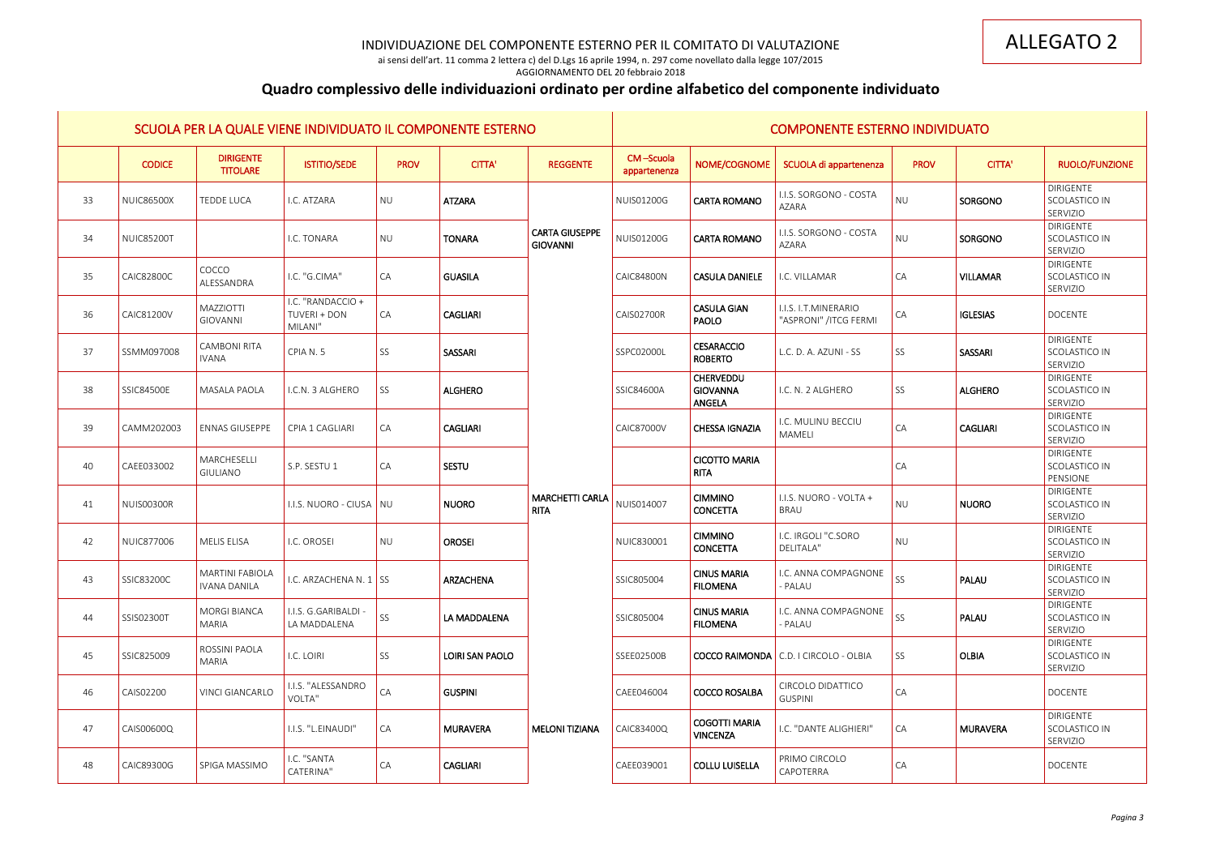ai sensi dell'art. 11 comma 2 lettera c) del D.Lgs 16 aprile 1994, n. 297 come novellato dalla legge 107/2015 AGGIORNAMENTO DEL 20 febbraio 2018

# **Quadro complessivo delle individuazioni ordinato per ordine alfabetico del componente individuato**

|    |                   |                                               | SCUOLA PER LA QUALE VIENE INDIVIDUATO IL COMPONENTE ESTERNO |             |                  |                                          |                           |                                                      | <b>COMPONENTE ESTERNO INDIVIDUATO</b>         |                 |                 |                                               |
|----|-------------------|-----------------------------------------------|-------------------------------------------------------------|-------------|------------------|------------------------------------------|---------------------------|------------------------------------------------------|-----------------------------------------------|-----------------|-----------------|-----------------------------------------------|
|    | <b>CODICE</b>     | <b>DIRIGENTE</b><br><b>TITOLARE</b>           | <b>ISTITIO/SEDE</b>                                         | <b>PROV</b> | <b>CITTA'</b>    | <b>REGGENTE</b>                          | CM-Scuola<br>appartenenza | NOME/COGNOME                                         | SCUOLA di appartenenza                        | <b>PROV</b>     | <b>CITTA'</b>   | <b>RUOLO/FUNZIONE</b>                         |
| 33 | <b>NUIC86500X</b> | TEDDE LUCA                                    | I.C. ATZARA                                                 | <b>NU</b>   | <b>ATZARA</b>    |                                          | <b>NUIS01200G</b>         | <b>CARTA ROMANO</b>                                  | I.I.S. SORGONO - COSTA<br>AZARA               | <b>NU</b>       | SORGONO         | <b>DIRIGENTE</b><br>SCOLASTICO IN<br>SERVIZIO |
| 34 | <b>NUIC85200T</b> |                                               | I.C. TONARA                                                 | <b>NU</b>   | <b>TONARA</b>    | <b>CARTA GIUSEPPE</b><br><b>GIOVANNI</b> | NUIS01200G                | <b>CARTA ROMANO</b>                                  | I.I.S. SORGONO - COSTA<br>AZARA               | <b>NU</b>       | SORGONO         | <b>DIRIGENTE</b><br>SCOLASTICO IN<br>SERVIZIO |
| 35 | <b>CAIC82800C</b> | COCCO<br>ALESSANDRA                           | I.C. "G.CIMA"                                               | CA          | <b>GUASILA</b>   |                                          | <b>CAIC84800N</b>         | <b>CASULA DANIELE</b>                                | I.C. VILLAMAR                                 | CA              | <b>VILLAMAR</b> | <b>DIRIGENTE</b><br>SCOLASTICO IN<br>SERVIZIO |
| 36 | <b>CAIC81200V</b> | <b>MAZZIOTTI</b><br>GIOVANNI                  | I.C. "RANDACCIO +<br>TUVERI + DON<br>MILANI"                | CA          | <b>CAGLIARI</b>  |                                          | <b>CAIS02700R</b>         | <b>CASULA GIAN</b><br><b>PAOLO</b>                   | I.I.S. I.T.MINERARIO<br>"ASPRONI" /ITCG FERMI | $\overline{CA}$ | <b>IGLESIAS</b> | <b>DOCENTE</b>                                |
| 37 | SSMM097008        | <b>CAMBONI RITA</b><br><b>IVANA</b>           | CPIA N. 5                                                   | SS          | <b>SASSARI</b>   |                                          | SSPC02000L                | <b>CESARACCIO</b><br><b>ROBERTO</b>                  | L.C. D. A. AZUNI - SS                         | SS              | <b>SASSARI</b>  | <b>DIRIGENTE</b><br>SCOLASTICO IN<br>SERVIZIO |
| 38 | <b>SSIC84500E</b> | <b>MASALA PAOLA</b>                           | I.C.N. 3 ALGHERO                                            | SS          | <b>ALGHERO</b>   |                                          | SSIC84600A                | <b>CHERVEDDU</b><br><b>GIOVANNA</b><br><b>ANGELA</b> | I.C. N. 2 ALGHERO                             | SS              | <b>ALGHERO</b>  | <b>DIRIGENTE</b><br>SCOLASTICO IN<br>SERVIZIO |
| 39 | CAMM202003        | <b>ENNAS GIUSEPPE</b>                         | CPIA 1 CAGLIARI                                             | CA          | <b>CAGLIARI</b>  |                                          | <b>CAIC87000V</b>         | <b>CHESSA IGNAZIA</b>                                | I.C. MULINU BECCIU<br>MAMELI                  | $\overline{CA}$ | <b>CAGLIARI</b> | <b>DIRIGENTE</b><br>SCOLASTICO IN<br>SERVIZIO |
| 40 | CAEE033002        | MARCHESELLI<br><b>GIULIANO</b>                | S.P. SESTU 1                                                | CA          | <b>SESTU</b>     |                                          |                           | <b>CICOTTO MARIA</b><br><b>RITA</b>                  |                                               | $\overline{CA}$ |                 | <b>DIRIGENTE</b><br>SCOLASTICO IN<br>PENSIONE |
| 41 | <b>NUIS00300R</b> |                                               | I.I.S. NUORO - CIUSA NU                                     |             | <b>NUORO</b>     | <b>MARCHETTI CARLA</b><br><b>RITA</b>    | NUIS014007                | <b>CIMMINO</b><br><b>CONCETTA</b>                    | I.I.S. NUORO - VOLTA +<br><b>BRAU</b>         | <b>NU</b>       | <b>NUORO</b>    | <b>DIRIGENTE</b><br>SCOLASTICO IN<br>SERVIZIO |
| 42 | <b>NUIC877006</b> | <b>MELIS ELISA</b>                            | I.C. OROSEI                                                 | <b>NU</b>   | <b>OROSEI</b>    |                                          | NUIC830001                | <b>CIMMINO</b><br><b>CONCETTA</b>                    | I.C. IRGOLI "C.SORO<br>DELITALA"              | NU              |                 | <b>DIRIGENTE</b><br>SCOLASTICO IN<br>SERVIZIO |
| 43 | SSIC83200C        | <b>MARTINI FABIOLA</b><br><b>IVANA DANILA</b> | I.C. ARZACHENA N. $1 \,$ SS                                 |             | <b>ARZACHENA</b> |                                          | SSIC805004                | <b>CINUS MARIA</b><br><b>FILOMENA</b>                | I.C. ANNA COMPAGNONE<br><b>PALAU</b>          | SS              | PALAU           | DIRIGENTE<br><b>SCOLASTICO IN</b><br>SERVIZIO |
| 44 | SSIS02300T        | <b>MORGI BIANCA</b><br>MARIA                  | I.I.S. G.GARIBALDI -<br>LA MADDALENA                        | SS          | LA MADDALENA     |                                          | SSIC805004                | <b>CINUS MARIA</b><br><b>FILOMENA</b>                | I.C. ANNA COMPAGNONE<br>- PALAU               | SS              | PALAU           | <b>DIRIGENTE</b><br>SCOLASTICO IN<br>SERVIZIO |
| 45 | SSIC825009        | ROSSINI PAOLA<br>MARIA                        | I.C. LOIRI                                                  | SS          | LOIRI SAN PAOLO  |                                          | SSEE02500B                |                                                      | <b>COCCO RAIMONDA</b> C.D. I CIRCOLO - OLBIA  | SS              | <b>OLBIA</b>    | <b>DIRIGENTE</b><br>SCOLASTICO IN<br>SERVIZIO |
| 46 | CAIS02200         | <b>VINCI GIANCARLO</b>                        | I.I.S. "ALESSANDRO<br>VOLTA"                                | CA          | <b>GUSPINI</b>   |                                          | CAEE046004                | <b>COCCO ROSALBA</b>                                 | CIRCOLO DIDATTICO<br><b>GUSPINI</b>           | CA              |                 | <b>DOCENTE</b>                                |
| 47 | CAIS00600Q        |                                               | I.I.S. "L.EINAUDI"                                          | CA          | <b>MURAVERA</b>  | <b>MELONI TIZIANA</b>                    | CAIC83400Q                | <b>COGOTTI MARIA</b><br><b>VINCENZA</b>              | I.C. "DANTE ALIGHIERI"                        | <b>CA</b>       | <b>MURAVERA</b> | <b>DIRIGENTE</b><br>SCOLASTICO IN<br>SERVIZIO |
| 48 | CAIC89300G        | SPIGA MASSIMO                                 | I.C. "SANTA<br>CATERINA"                                    | CA          | <b>CAGLIARI</b>  |                                          | CAEE039001                | <b>COLLU LUISELLA</b>                                | PRIMO CIRCOLO<br>CAPOTERRA                    | CA              |                 | <b>DOCENTE</b>                                |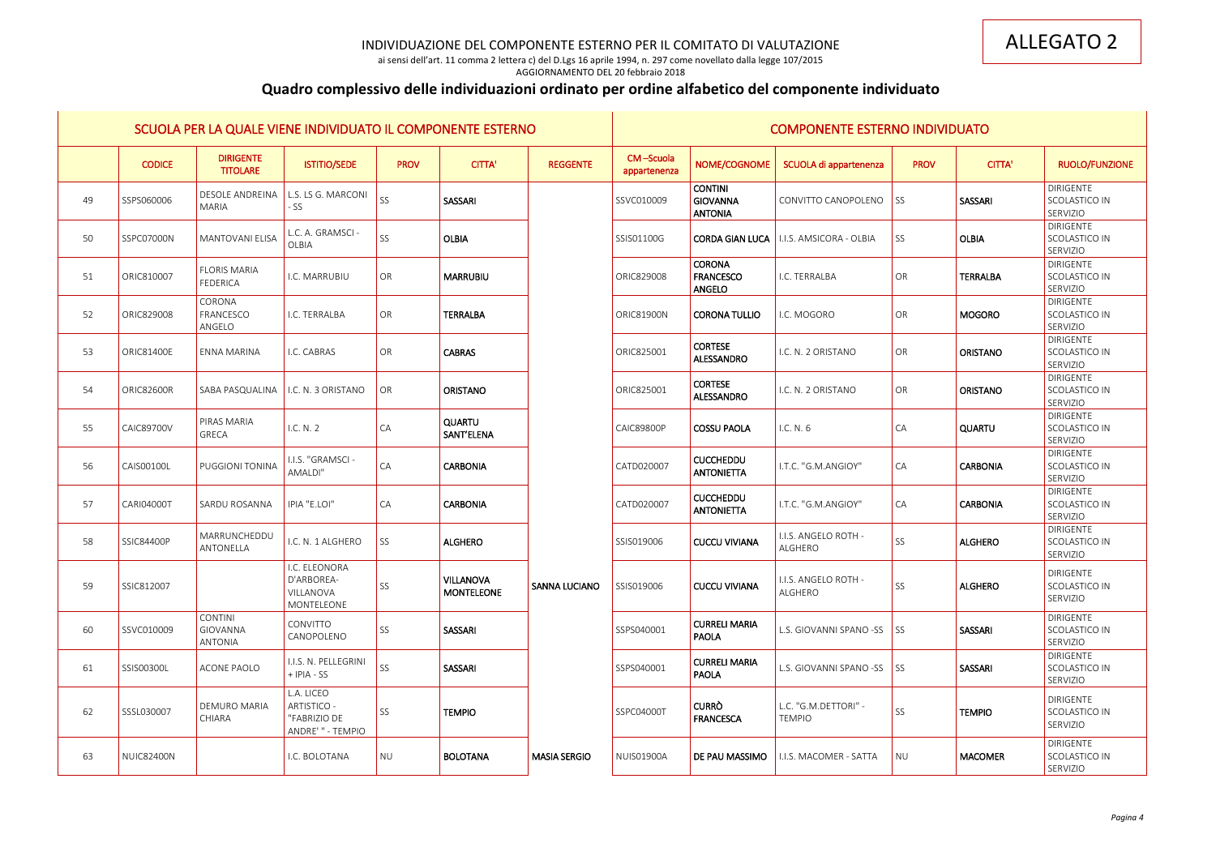ai sensi dell'art. 11 comma 2 lettera c) del D.Lgs 16 aprile 1994, n. 297 come novellato dalla legge 107/2015 AGGIORNAMENTO DEL 20 febbraio 2018

# **Quadro complessivo delle individuazioni ordinato per ordine alfabetico del componente individuato**

|    |                   |                                        | SCUOLA PER LA QUALE VIENE INDIVIDUATO IL COMPONENTE ESTERNO    |             |                                       |                      |                           |                                                     | <b>COMPONENTE ESTERNO INDIVIDUATO</b>     |                          |                 |                                               |
|----|-------------------|----------------------------------------|----------------------------------------------------------------|-------------|---------------------------------------|----------------------|---------------------------|-----------------------------------------------------|-------------------------------------------|--------------------------|-----------------|-----------------------------------------------|
|    | <b>CODICE</b>     | <b>DIRIGENTE</b><br><b>TITOLARE</b>    | <b>ISTITIO/SEDE</b>                                            | <b>PROV</b> | <b>CITTA'</b>                         | <b>REGGENTE</b>      | CM-Scuola<br>appartenenza | NOME/COGNOME                                        | SCUOLA di appartenenza                    | <b>PROV</b>              | <b>CITTA'</b>   | <b>RUOLO/FUNZIONE</b>                         |
| 49 | SSPS060006        | <b>DESOLE ANDREINA</b><br><b>MARIA</b> | L.S. LS G. MARCONI<br>- SS                                     | SS          | SASSARI                               |                      | SSVC010009                | <b>CONTINI</b><br><b>GIOVANNA</b><br><b>ANTONIA</b> | CONVITTO CANOPOLENO                       | SS                       | SASSARI         | <b>DIRIGENTE</b><br>SCOLASTICO IN<br>SERVIZIO |
| 50 | SSPC07000N        | <b>MANTOVANI ELISA</b>                 | L.C. A. GRAMSCI -<br>OLBIA                                     | SS          | <b>OLBIA</b>                          |                      | SSIS01100G                |                                                     | CORDA GIAN LUCA   I.I.S. AMSICORA - OLBIA | SS                       | <b>OLBIA</b>    | <b>DIRIGENTE</b><br>SCOLASTICO IN<br>SERVIZIO |
| 51 | ORIC810007        | <b>FLORIS MARIA</b><br>FEDERICA        | I.C. MARRUBIU                                                  | OR          | <b>MARRUBIU</b>                       |                      | ORIC829008                | <b>CORONA</b><br><b>FRANCESCO</b><br>ANGELO         | I.C. TERRALBA                             | OR                       | <b>TERRALBA</b> | DIRIGENTE<br>SCOLASTICO IN<br>SERVIZIO        |
| 52 | ORIC829008        | CORONA<br>FRANCESCO<br>ANGELO          | I.C. TERRALBA                                                  | OR          | <b>TERRALBA</b>                       |                      | <b>ORIC81900N</b>         | CORONA TULLIO                                       | I.C. MOGORO                               | OR                       | <b>MOGORO</b>   | <b>DIRIGENTE</b><br>SCOLASTICO IN<br>SERVIZIO |
| 53 | ORIC81400E        | ENNA MARINA                            | I.C. CABRAS                                                    | OR          | <b>CABRAS</b>                         |                      | ORIC825001                | <b>CORTESE</b><br>ALESSANDRO                        | I.C. N. 2 ORISTANO                        | OR                       | <b>ORISTANO</b> | <b>DIRIGENTE</b><br>SCOLASTICO IN<br>SERVIZIO |
| 54 | <b>ORIC82600R</b> | <b>SABA PASQUALINA</b>                 | I.C. N. 3 ORISTANO                                             | OR          | <b>ORISTANO</b>                       |                      | ORIC825001                | <b>CORTESE</b><br>ALESSANDRO                        | I.C. N. 2 ORISTANO                        | OR                       | <b>ORISTANO</b> | <b>DIRIGENTE</b><br>SCOLASTICO IN<br>SERVIZIO |
| 55 | <b>CAIC89700V</b> | <b>PIRAS MARIA</b><br>GRECA            | I.C. N. 2                                                      | CA          | <b>QUARTU</b><br>SANT'ELENA           |                      | <b>CAIC89800P</b>         | <b>COSSU PAOLA</b>                                  | I.C. N. 6                                 | CA                       | <b>QUARTU</b>   | <b>DIRIGENTE</b><br>SCOLASTICO IN<br>SERVIZIO |
| 56 | CAIS00100L        | <b>PUGGIONI TONINA</b>                 | I.I.S. "GRAMSCI -<br>AMALDI"                                   | CA          | <b>CARBONIA</b>                       |                      | CATD020007                | <b>CUCCHEDDU</b><br><b>ANTONIETTA</b>               | I.T.C. "G.M.ANGIOY"                       | CA                       | <b>CARBONIA</b> | <b>DIRIGENTE</b><br>SCOLASTICO IN<br>SERVIZIO |
| 57 | <b>CARI04000T</b> | <b>SARDU ROSANNA</b>                   | IPIA "E.LOI"                                                   | CA          | <b>CARBONIA</b>                       |                      | CATD020007                | <b>CUCCHEDDU</b><br><b>ANTONIETTA</b>               | I.T.C. "G.M.ANGIOY"                       | CA                       | <b>CARBONIA</b> | <b>DIRIGENTE</b><br>SCOLASTICO IN<br>SERVIZIO |
| 58 | <b>SSIC84400P</b> | MARRUNCHEDDU<br>ANTONELLA              | I.C. N. 1 ALGHERO                                              | SS          | <b>ALGHERO</b>                        |                      | SSIS019006                | <b>CUCCU VIVIANA</b>                                | I.I.S. ANGELO ROTH -<br>ALGHERO           | SS                       | <b>ALGHERO</b>  | DIRIGENTE<br>SCOLASTICO IN<br>SERVIZIO        |
| 59 | SSIC812007        |                                        | I.C. ELEONORA<br>D'ARBOREA-<br>VILLANOVA<br>MONTELEONE         | SS          | <b>VILLANOVA</b><br><b>MONTELEONE</b> | <b>SANNA LUCIANO</b> | SSIS019006                | <b>CUCCU VIVIANA</b>                                | I.I.S. ANGELO ROTH -<br>ALGHERO           | SS                       | <b>ALGHERO</b>  | DIRIGENTE<br>SCOLASTICO IN<br>SERVIZIO        |
| 60 | SSVC010009        | <b>CONTINI</b><br>GIOVANNA<br>ANTONIA  | CONVITTO<br>CANOPOLENO                                         | SS          | SASSARI                               |                      | SSPS040001                | <b>CURRELI MARIA</b><br><b>PAOLA</b>                | L.S. GIOVANNI SPANO -SS                   | SS                       | SASSARI         | <b>DIRIGENTE</b><br>SCOLASTICO IN<br>SERVIZIO |
| 61 | SSIS00300L        | ACONE PAOLO                            | I.I.S. N. PELLEGRINI<br>$+$ IPIA - SS                          | SS          | SASSARI                               |                      | SSPS040001                | <b>CURRELI MARIA</b><br>PAOLA                       | L.S. GIOVANNI SPANO -SS                   | $\overline{\mathsf{SS}}$ | SASSARI         | <b>DIRIGENTE</b><br>SCOLASTICO IN<br>SERVIZIO |
| 62 | SSSL030007        | <b>DEMURO MARIA</b><br>CHIARA          | L.A. LICEO<br>ARTISTICO -<br>"FABRIZIO DE<br>ANDRE' " - TEMPIO | SS          | <b>TEMPIO</b>                         |                      | SSPC04000T                | <b>CURRO</b><br>FRANCESCA                           | L.C. "G.M.DETTORI" -<br><b>TEMPIO</b>     | SS                       | <b>TEMPIO</b>   | <b>DIRIGENTE</b><br>SCOLASTICO IN<br>SERVIZIO |
| 63 | <b>NUIC82400N</b> |                                        | I.C. BOLOTANA                                                  | <b>NU</b>   | <b>BOLOTANA</b>                       | <b>MASIA SERGIO</b>  | <b>NUIS01900A</b>         | DE PAU MASSIMO                                      | I.I.S. MACOMER - SATTA                    | NU                       | <b>MACOMER</b>  | DIRIGENTE<br>SCOLASTICO IN<br>SERVIZIO        |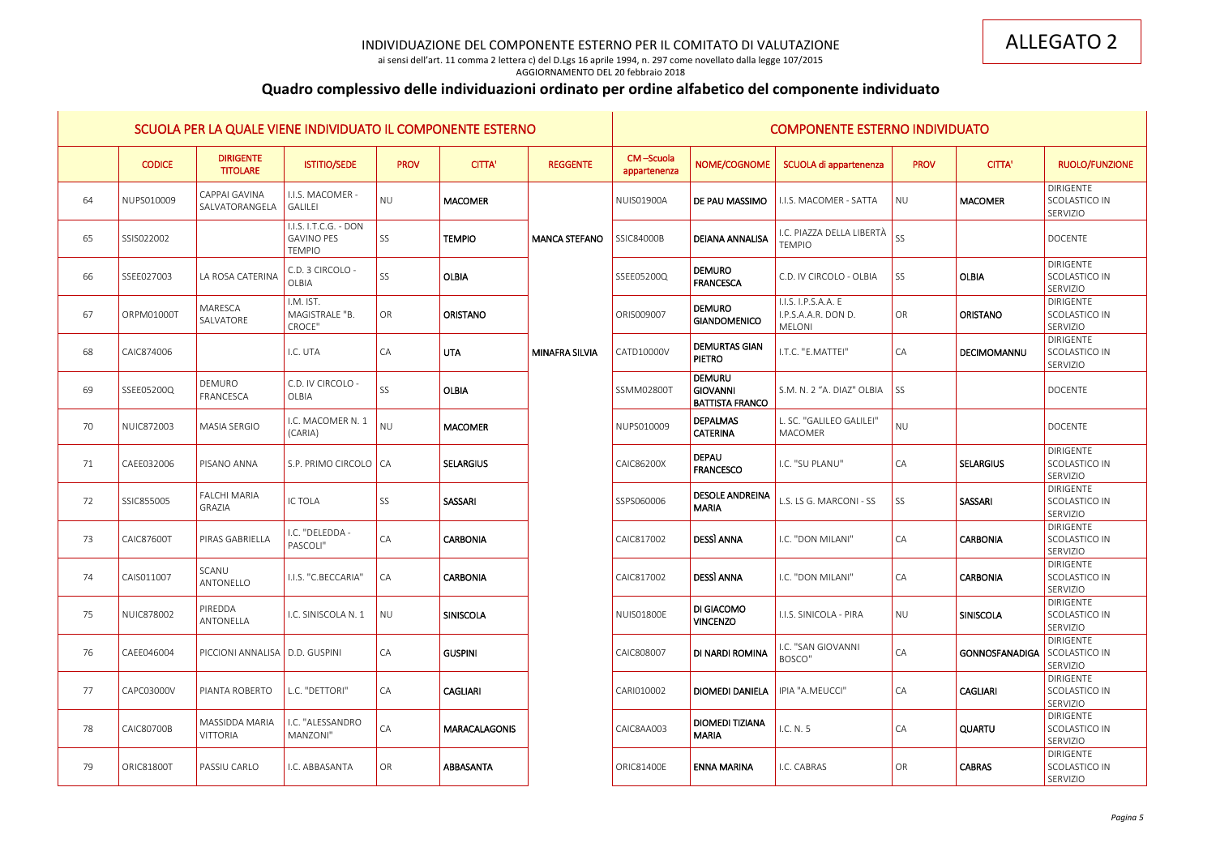ai sensi dell'art. 11 comma 2 lettera c) del D.Lgs 16 aprile 1994, n. 297 come novellato dalla legge 107/2015 AGGIORNAMENTO DEL 20 febbraio 2018

# **Quadro complessivo delle individuazioni ordinato per ordine alfabetico del componente individuato**

|    |                   |                                     | SCUOLA PER LA QUALE VIENE INDIVIDUATO IL COMPONENTE ESTERNO |                 |                      |                       |                           |                                                            | <b>COMPONENTE ESTERNO INDIVIDUATO</b>                       |                 |                       |                                               |
|----|-------------------|-------------------------------------|-------------------------------------------------------------|-----------------|----------------------|-----------------------|---------------------------|------------------------------------------------------------|-------------------------------------------------------------|-----------------|-----------------------|-----------------------------------------------|
|    | <b>CODICE</b>     | <b>DIRIGENTE</b><br><b>TITOLARE</b> | <b>ISTITIO/SEDE</b>                                         | <b>PROV</b>     | <b>CITTA'</b>        | <b>REGGENTE</b>       | CM-Scuola<br>appartenenza | NOME/COGNOME                                               | SCUOLA di appartenenza                                      | <b>PROV</b>     | <b>CITTA'</b>         | <b>RUOLO/FUNZIONE</b>                         |
| 64 | NUPS010009        | CAPPAI GAVINA<br>SALVATORANGELA     | I.I.S. MACOMER -<br><b>GALILEI</b>                          | <b>NU</b>       | <b>MACOMER</b>       |                       | <b>NUIS01900A</b>         | DE PAU MASSIMO                                             | I.I.S. MACOMER - SATTA                                      | <b>NU</b>       | <b>MACOMER</b>        | <b>DIRIGENTE</b><br>SCOLASTICO IN<br>SERVIZIO |
| 65 | SSIS022002        |                                     | I.I.S. I.T.C.G. - DON<br><b>GAVINO PES</b><br><b>TEMPIO</b> | SS              | <b>TEMPIO</b>        | <b>MANCA STEFANO</b>  | <b>SSIC84000B</b>         | <b>DEIANA ANNALISA</b>                                     | I.C. PIAZZA DELLA LIBERTÀ<br><b>TEMPIO</b>                  | SS              |                       | <b>DOCENTE</b>                                |
| 66 | SSEE027003        | LA ROSA CATERINA                    | C.D. 3 CIRCOLO -<br>OLBIA                                   | SS              | <b>OLBIA</b>         |                       | SSEE05200Q                | <b>DEMURO</b><br><b>FRANCESCA</b>                          | C.D. IV CIRCOLO - OLBIA                                     | <b>SS</b>       | <b>OLBIA</b>          | <b>DIRIGENTE</b><br>SCOLASTICO IN<br>SERVIZIO |
| 67 | ORPM01000T        | MARESCA<br>SALVATORE                | I.M. IST.<br>MAGISTRALE "B.<br>CROCE"                       | OR              | <b>ORISTANO</b>      |                       | ORIS009007                | <b>DEMURO</b><br><b>GIANDOMENICO</b>                       | I.I.S. I.P.S.A.A. E<br>I.P.S.A.A.R. DON D.<br><b>MELONI</b> | OR              | <b>ORISTANO</b>       | <b>DIRIGENTE</b><br>SCOLASTICO IN<br>SERVIZIO |
| 68 | CAIC874006        |                                     | I.C. UTA                                                    | <b>CA</b>       | <b>UTA</b>           | <b>MINAFRA SILVIA</b> | CATD10000V                | <b>DEMURTAS GIAN</b><br><b>PIETRO</b>                      | I.T.C. "E.MATTEI"                                           | CA              | DECIMOMANNU           | <b>DIRIGENTE</b><br>SCOLASTICO IN<br>SERVIZIO |
| 69 | SSEE05200Q        | DEMURO<br>FRANCESCA                 | C.D. IV CIRCOLO -<br>OLBIA                                  | SS              | <b>OLBIA</b>         |                       | SSMM02800T                | <b>DEMURU</b><br><b>GIOVANNI</b><br><b>BATTISTA FRANCO</b> | S.M. N. 2 "A. DIAZ" OLBIA                                   | SS <sup>1</sup> |                       | DOCENTE                                       |
| 70 | <b>NUIC872003</b> | <b>MASIA SERGIO</b>                 | I.C. MACOMER N. 1<br>(CARIA)                                | <b>NU</b>       | <b>MACOMER</b>       |                       | NUPS010009                | <b>DEPALMAS</b><br><b>CATERINA</b>                         | L. SC. "GALILEO GALILEI"<br><b>MACOMER</b>                  | <b>NU</b>       |                       | <b>DOCENTE</b>                                |
| 71 | CAEE032006        | PISANO ANNA                         | S.P. PRIMO CIRCOLO   CA                                     |                 | <b>SELARGIUS</b>     |                       | <b>CAIC86200X</b>         | <b>DEPAU</b><br><b>FRANCESCO</b>                           | I.C. "SU PLANU"                                             | CA              | <b>SELARGIUS</b>      | <b>DIRIGENTE</b><br>SCOLASTICO IN<br>SERVIZIO |
| 72 | SSIC855005        | <b>FALCHI MARIA</b><br>GRAZIA       | IC TOLA                                                     | SS              | <b>SASSARI</b>       |                       | SSPS060006                | <b>DESOLE ANDREINA</b><br><b>MARIA</b>                     | L.S. LS G. MARCONI - SS                                     | SS              | SASSARI               | DIRIGENTE<br>SCOLASTICO IN<br>SERVIZIO        |
| 73 | <b>CAIC87600T</b> | PIRAS GABRIELLA                     | I.C. "DELEDDA -<br>PASCOLI"                                 | <b>CA</b>       | <b>CARBONIA</b>      |                       | CAIC817002                | <b>DESSI ANNA</b>                                          | I.C. "DON MILANI"                                           | <b>CA</b>       | <b>CARBONIA</b>       | <b>DIRIGENTE</b><br>SCOLASTICO IN<br>SERVIZIO |
| 74 | CAIS011007        | SCANU<br>ANTONELLO                  | I.I.S. "C.BECCARIA"                                         | $\overline{CA}$ | <b>CARBONIA</b>      |                       | CAIC817002                | <b>DESSI ANNA</b>                                          | I.C. "DON MILANI"                                           | CA              | <b>CARBONIA</b>       | DIRIGENTE<br>SCOLASTICO IN<br>SERVIZIO        |
| 75 | NUIC878002        | PIREDDA<br>ANTONELLA                | I.C. SINISCOLA N. 1                                         | NU              | <b>SINISCOLA</b>     |                       | <b>NUIS01800E</b>         | DI GIACOMO<br><b>VINCENZO</b>                              | I.I.S. SINICOLA - PIRA                                      | NU              | SINISCOLA             | <b>DIRIGENTE</b><br>SCOLASTICO IN<br>SERVIZIO |
| 76 | CAEE046004        | PICCIONI ANNALISA   D.D. GUSPINI    |                                                             | <b>CA</b>       | <b>GUSPINI</b>       |                       | CAIC808007                | DI NARDI ROMINA                                            | I.C. "SAN GIOVANNI<br>BOSCO"                                | CA              | <b>GONNOSFANADIGA</b> | <b>DIRIGENTE</b><br>SCOLASTICO IN<br>SERVIZIO |
| 77 | CAPC03000V        | PIANTA ROBERTO                      | L.C. "DETTORI"                                              | <b>CA</b>       | <b>CAGLIARI</b>      |                       | CARI010002                | <b>DIOMEDI DANIELA</b>                                     | IPIA "A.MEUCCI"                                             | <b>CA</b>       | <b>CAGLIARI</b>       | <b>DIRIGENTE</b><br>SCOLASTICO IN<br>SERVIZIO |
| 78 | <b>CAIC80700B</b> | MASSIDDA MARIA<br>VITTORIA          | I.C. "ALESSANDRO<br>MANZONI"                                | <b>CA</b>       | <b>MARACALAGONIS</b> |                       | CAIC8AA003                | <b>DIOMEDI TIZIANA</b><br><b>MARIA</b>                     | I.C. N. 5                                                   | <b>CA</b>       | QUARTU                | <b>DIRIGENTE</b><br>SCOLASTICO IN<br>SERVIZIO |
| 79 | <b>ORIC81800T</b> | PASSIU CARLO                        | I.C. ABBASANTA                                              | OR              | ABBASANTA            |                       | <b>ORIC81400E</b>         | <b>ENNA MARINA</b>                                         | I.C. CABRAS                                                 | OR              | <b>CABRAS</b>         | DIRIGENTE<br>SCOLASTICO IN<br>SERVIZIO        |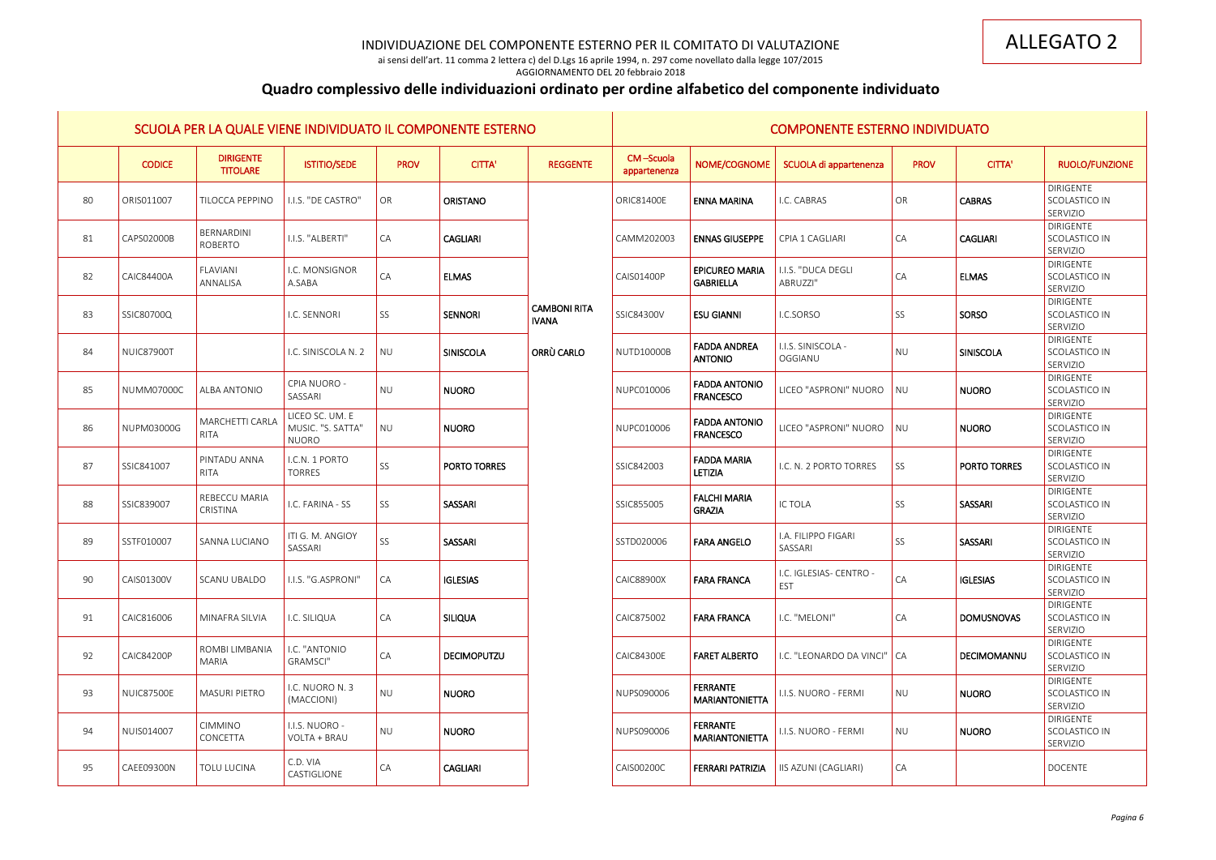ai sensi dell'art. 11 comma 2 lettera c) del D.Lgs 16 aprile 1994, n. 297 come novellato dalla legge 107/2015 AGGIORNAMENTO DEL 20 febbraio 2018

# **Quadro complessivo delle individuazioni ordinato per ordine alfabetico del componente individuato**

|    |                   |                                       | SCUOLA PER LA QUALE VIENE INDIVIDUATO IL COMPONENTE ESTERNO |             |                    |                                     |                           |                                           | <b>COMPONENTE ESTERNO INDIVIDUATO</b> |                 |                     |                                               |
|----|-------------------|---------------------------------------|-------------------------------------------------------------|-------------|--------------------|-------------------------------------|---------------------------|-------------------------------------------|---------------------------------------|-----------------|---------------------|-----------------------------------------------|
|    | <b>CODICE</b>     | <b>DIRIGENTE</b><br><b>TITOLARE</b>   | <b>ISTITIO/SEDE</b>                                         | <b>PROV</b> | <b>CITTA'</b>      | <b>REGGENTE</b>                     | CM-Scuola<br>appartenenza | NOME/COGNOME                              | SCUOLA di appartenenza                | <b>PROV</b>     | <b>CITTA'</b>       | <b>RUOLO/FUNZIONE</b>                         |
| 80 | ORIS011007        | <b>TILOCCA PEPPINO</b>                | I.I.S. "DE CASTRO"                                          | OR          | <b>ORISTANO</b>    |                                     | <b>ORIC81400E</b>         | <b>ENNA MARINA</b>                        | I.C. CABRAS                           | OR              | <b>CABRAS</b>       | <b>DIRIGENTE</b><br>SCOLASTICO IN<br>SERVIZIO |
| 81 | CAPS02000B        | BERNARDINI<br>ROBERTO                 | I.I.S. "ALBERTI"                                            | CA          | <b>CAGLIARI</b>    |                                     | CAMM202003                | <b>ENNAS GIUSEPPE</b>                     | <b>CPIA 1 CAGLIARI</b>                | CA              | <b>CAGLIARI</b>     | DIRIGENTE<br>SCOLASTICO IN<br>SERVIZIO        |
| 82 | <b>CAIC84400A</b> | FLAVIANI<br>ANNALISA                  | I.C. MONSIGNOR<br>A.SABA                                    | CA          | <b>ELMAS</b>       |                                     | CAIS01400P                | <b>EPICUREO MARIA</b><br><b>GABRIELLA</b> | I.I.S. "DUCA DEGLI<br>ABRUZZI"        | CA              | <b>ELMAS</b>        | <b>DIRIGENTE</b><br>SCOLASTICO IN<br>SERVIZIO |
| 83 | SSIC80700Q        |                                       | I.C. SENNORI                                                | SS          | <b>SENNORI</b>     | <b>CAMBONI RITA</b><br><b>IVANA</b> | SSIC84300V                | <b>ESU GIANNI</b>                         | I.C.SORSO                             | SS              | <b>SORSO</b>        | <b>DIRIGENTE</b><br>SCOLASTICO IN<br>SERVIZIO |
| 84 | <b>NUIC87900T</b> |                                       | I.C. SINISCOLA N. 2                                         | NU          | <b>SINISCOLA</b>   | <b>ORRÙ CARLO</b>                   | <b>NUTD10000B</b>         | <b>FADDA ANDREA</b><br><b>ANTONIO</b>     | I.I.S. SINISCOLA -<br>OGGIANU         | <b>NU</b>       | SINISCOLA           | <b>DIRIGENTE</b><br>SCOLASTICO IN<br>SERVIZIO |
| 85 | <b>NUMM07000C</b> | <b>ALBA ANTONIO</b>                   | <b>CPIA NUORO -</b><br>SASSARI                              | <b>NU</b>   | <b>NUORO</b>       |                                     | NUPC010006                | <b>FADDA ANTONIO</b><br><b>FRANCESCO</b>  | LICEO "ASPRONI" NUORO                 | <b>NU</b>       | <b>NUORO</b>        | <b>DIRIGENTE</b><br>SCOLASTICO IN<br>SERVIZIO |
| 86 | NUPM03000G        | <b>MARCHETTI CARLA</b><br><b>RITA</b> | LICEO SC. UM. E<br>MUSIC. "S. SATTA"<br><b>NUORO</b>        | NU          | <b>NUORO</b>       |                                     | NUPC010006                | <b>FADDA ANTONIO</b><br><b>FRANCESCO</b>  | LICEO "ASPRONI" NUORO                 | <b>NU</b>       | <b>NUORO</b>        | <b>DIRIGENTE</b><br>SCOLASTICO IN<br>SERVIZIO |
| 87 | SSIC841007        | <b>PINTADU ANNA</b><br><b>RITA</b>    | I.C.N. 1 PORTO<br><b>TORRES</b>                             | SS          | PORTO TORRES       |                                     | SSIC842003                | <b>FADDA MARIA</b><br>LETIZIA             | I.C. N. 2 PORTO TORRES                | SS              | <b>PORTO TORRES</b> | <b>DIRIGENTE</b><br>SCOLASTICO IN<br>SERVIZIO |
| 88 | SSIC839007        | <b>REBECCU MARIA</b><br>CRISTINA      | I.C. FARINA - SS                                            | SS          | SASSARI            |                                     | SSIC855005                | <b>FALCHI MARIA</b><br><b>GRAZIA</b>      | <b>IC TOLA</b>                        | SS              | SASSARI             | <b>DIRIGENTE</b><br>SCOLASTICO IN<br>SERVIZIO |
| 89 | SSTF010007        | <b>SANNA LUCIANO</b>                  | ITI G. M. ANGIOY<br>SASSARI                                 | SS          | <b>SASSARI</b>     |                                     | SSTD020006                | <b>FARA ANGELO</b>                        | I.A. FILIPPO FIGARI<br>SASSARI        | SS              | SASSARI             | <b>DIRIGENTE</b><br>SCOLASTICO IN<br>SERVIZIO |
| 90 | CAIS01300V        | <b>SCANU UBALDO</b>                   | I.I.S. "G.ASPRONI"                                          | CA          | <b>IGLESIAS</b>    |                                     | <b>CAIC88900X</b>         | <b>FARA FRANCA</b>                        | I.C. IGLESIAS- CENTRO -<br>EST        | $\overline{CA}$ | <b>IGLESIAS</b>     | DIRIGENTE<br>SCOLASTICO IN<br>SERVIZIO        |
| 91 | CAIC816006        | MINAFRA SILVIA                        | I.C. SILIQUA                                                | CA          | <b>SILIQUA</b>     |                                     | CAIC875002                | <b>FARA FRANCA</b>                        | I.C. "MELONI"                         | $\overline{CA}$ | <b>DOMUSNOVAS</b>   | <b>DIRIGENTE</b><br>SCOLASTICO IN<br>SERVIZIO |
| 92 | <b>CAIC84200P</b> | ROMBI LIMBANIA<br><b>MARIA</b>        | I.C. "ANTONIO<br>GRAMSCI"                                   | CA          | <b>DECIMOPUTZU</b> |                                     | <b>CAIC84300E</b>         | <b>FARET ALBERTO</b>                      | I.C. "LEONARDO DA VINCI"              | $\overline{CA}$ | DECIMOMANNU         | DIRIGENTE<br>SCOLASTICO IN<br>SERVIZIO        |
| 93 | <b>NUIC87500E</b> | <b>MASURI PIETRO</b>                  | I.C. NUORO N. 3<br>(MACCIONI)                               | <b>NU</b>   | <b>NUORO</b>       |                                     | NUPS090006                | <b>FERRANTE</b><br><b>MARIANTONIETTA</b>  | I.I.S. NUORO - FERMI                  | NU              | <b>NUORO</b>        | DIRIGENTE<br>SCOLASTICO IN<br>SERVIZIO        |
| 94 | NUIS014007        | CIMMINO<br>CONCETTA                   | I.I.S. NUORO -<br>VOLTA + BRAU                              | NU          | <b>NUORO</b>       |                                     | NUPS090006                | <b>FERRANTE</b><br><b>MARIANTONIETTA</b>  | I.I.S. NUORO - FERMI                  | NU              | <b>NUORO</b>        | <b>DIRIGENTE</b><br>SCOLASTICO IN<br>SERVIZIO |
| 95 | CAEE09300N        | TOLU LUCINA                           | C.D. VIA<br>CASTIGLIONE                                     | CA          | <b>CAGLIARI</b>    |                                     | CAIS00200C                | <b>FERRARI PATRIZIA</b>                   | IIS AZUNI (CAGLIARI)                  | CA              |                     | <b>DOCENTE</b>                                |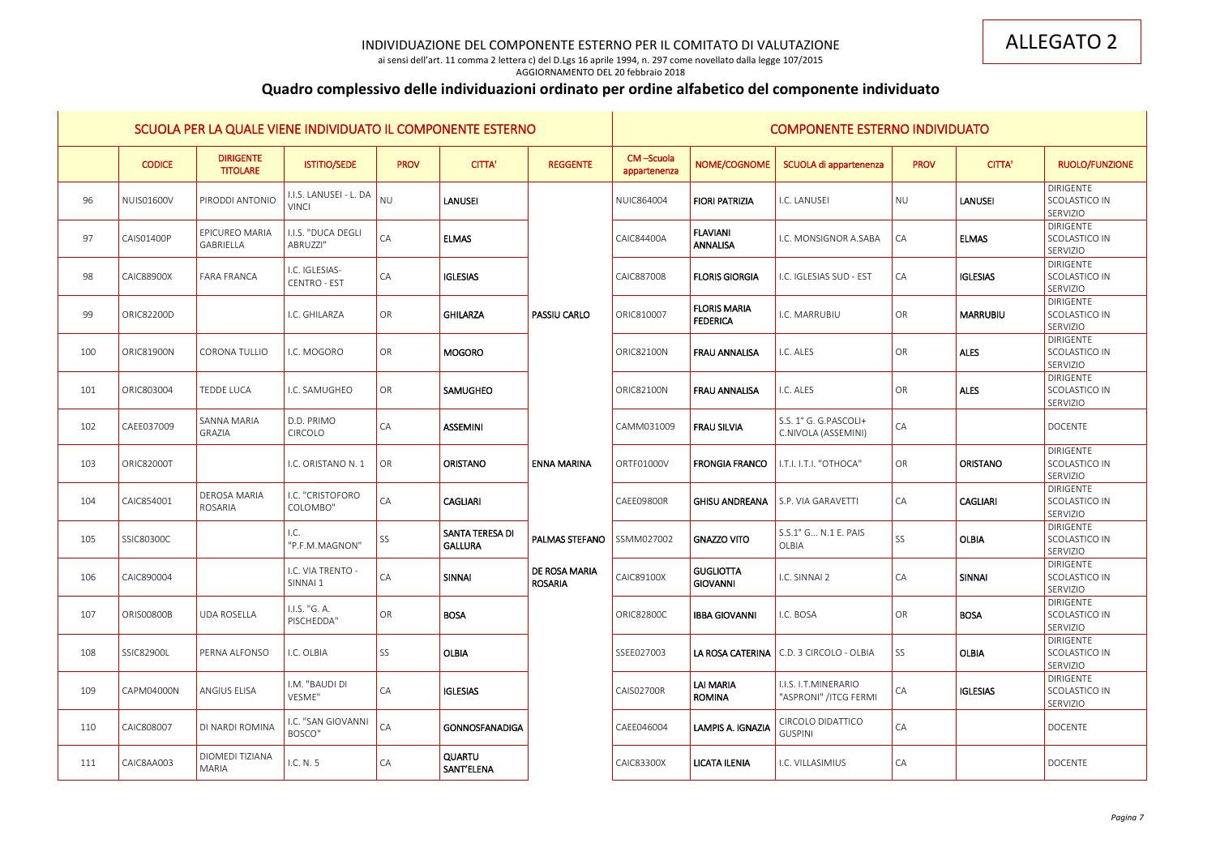ai sensi dell'art. 11 comma 2 lettera c) del D.Lgs 16 aprile 1994, n. 297 come novellato dalla legge 107/2015

### AGGIORNAMENTO DEL 20 febbraio 2018

# **Quadro complessivo delle individuazioni ordinato per ordine alfabetico del componente individuato**

|     |                   |                                     | SCUOLA PER LA QUALE VIENE INDIVIDUATO IL COMPONENTE ESTERNO |                 |                                   |                                 |                           |                                        | <b>COMPONENTE ESTERNO INDIVIDUATO</b>                 |                 |                 |                                               |
|-----|-------------------|-------------------------------------|-------------------------------------------------------------|-----------------|-----------------------------------|---------------------------------|---------------------------|----------------------------------------|-------------------------------------------------------|-----------------|-----------------|-----------------------------------------------|
|     | <b>CODICE</b>     | <b>DIRIGENTE</b><br><b>TITOLARE</b> | <b>ISTITIO/SEDE</b>                                         | <b>PROV</b>     | <b>CITTA'</b>                     | <b>REGGENTE</b>                 | CM-Scuola<br>appartenenza | NOME/COGNOME                           | SCUOLA di appartenenza                                | <b>PROV</b>     | <b>CITTA'</b>   | RUOLO/FUNZIONE                                |
| 96  | <b>NUIS01600V</b> | PIRODDI ANTONIO                     | I.I.S. LANUSEI - L. DA<br><b>VINCI</b>                      | <b>NU</b>       | <b>LANUSEI</b>                    |                                 | <b>NUIC864004</b>         | <b>FIORI PATRIZIA</b>                  | I.C. LANUSEI                                          | <b>NU</b>       | <b>LANUSEI</b>  | DIRIGENTE<br>SCOLASTICO IN<br>SERVIZIO        |
| 97  | <b>CAIS01400P</b> | <b>EPICUREO MARIA</b><br>GABRIELLA  | I.I.S. "DUCA DEGLI<br>ABRUZZI"                              | CA              | <b>ELMAS</b>                      |                                 | <b>CAIC84400A</b>         | <b>FLAVIANI</b><br>ANNALISA            | I.C. MONSIGNOR A.SABA                                 | CA              | <b>ELMAS</b>    | DIRIGENTE<br>SCOLASTICO IN<br>SERVIZIO        |
| 98  | <b>CAIC88900X</b> | <b>FARA FRANCA</b>                  | I.C. IGLESIAS-<br><b>CENTRO - EST</b>                       | CA              | <b>IGLESIAS</b>                   |                                 | CAIC887008                | <b>FLORIS GIORGIA</b>                  | I.C. IGLESIAS SUD - EST                               | CA              | <b>IGLESIAS</b> | <b>DIRIGENTE</b><br>SCOLASTICO IN<br>SERVIZIO |
| 99  | ORIC82200D        |                                     | I.C. GHILARZA                                               | OR              | <b>GHILARZA</b>                   | <b>PASSIU CARLO</b>             | ORIC810007                | <b>FLORIS MARIA</b><br><b>FEDERICA</b> | I.C. MARRUBIU                                         | OR              | <b>MARRUBIU</b> | <b>DIRIGENTE</b><br>SCOLASTICO IN<br>SERVIZIO |
| 100 | <b>ORIC81900N</b> | <b>CORONA TULLIO</b>                | I.C. MOGORO                                                 | OR              | <b>MOGORO</b>                     |                                 | <b>ORIC82100N</b>         | <b>FRAU ANNALISA</b>                   | I.C. ALES                                             | OR              | <b>ALES</b>     | <b>DIRIGENTE</b><br>SCOLASTICO IN<br>SERVIZIO |
| 101 | ORIC803004        | TEDDE LUCA                          | I.C. SAMUGHEO                                               | OR              | SAMUGHEO                          |                                 | <b>ORIC82100N</b>         | <b>FRAU ANNALISA</b>                   | I.C. ALES                                             | OR              | <b>ALES</b>     | <b>DIRIGENTE</b><br>SCOLASTICO IN<br>SERVIZIO |
| 102 | CAEE037009        | SANNA MARIA<br>GRAZIA               | D.D. PRIMO<br>CIRCOLO                                       | CA              | <b>ASSEMINI</b>                   |                                 | CAMM031009                | <b>FRAU SILVIA</b>                     | S.S. 1° G. G.PASCOLI+<br>C.NIVOLA (ASSEMINI)          | CA              |                 | <b>DOCENTE</b>                                |
| 103 | <b>ORIC82000T</b> |                                     | I.C. ORISTANO N. 1                                          | $\overline{OR}$ | <b>ORISTANO</b>                   | <b>ENNA MARINA</b>              | ORTF01000V                | <b>FRONGIA FRANCO</b>                  | I.T.I. I.T.I. "OTHOCA"                                | OR              | <b>ORISTANO</b> | <b>DIRIGENTE</b><br>SCOLASTICO IN<br>SERVIZIO |
| 104 | CAIC854001        | <b>DEROSA MARIA</b><br>ROSARIA      | I.C. "CRISTOFORO<br>COLOMBO"                                | CA              | <b>CAGLIARI</b>                   |                                 | CAEE09800R                | <b>GHISU ANDREANA</b>                  | S.P. VIA GARAVETTI                                    | $\overline{CA}$ | <b>CAGLIARI</b> | <b>DIRIGENTE</b><br>SCOLASTICO IN<br>SERVIZIO |
| 105 | <b>SSIC80300C</b> |                                     | I.C.<br>"P.F.M.MAGNON"                                      | SS              | SANTA TERESA DI<br><b>GALLURA</b> | <b>PALMAS STEFANO</b>           | SSMM027002                | <b>GNAZZO VITO</b>                     | S.S.1° G N.1 E. PAIS<br><b>OLBIA</b>                  | SS              | <b>OLBIA</b>    | <b>DIRIGENTE</b><br>SCOLASTICO IN<br>SERVIZIO |
| 106 | CAIC890004        |                                     | I.C. VIA TRENTO -<br>SINNAI 1                               | CA              | <b>SINNAI</b>                     | DE ROSA MARIA<br><b>ROSARIA</b> | CAIC89100X                | <b>GUGLIOTTA</b><br><b>GIOVANNI</b>    | I.C. SINNAI 2                                         | CA              | <b>SINNAI</b>   | DIRIGENTE<br>SCOLASTICO IN<br>SERVIZIO        |
| 107 | <b>ORIS00800B</b> | <b>UDA ROSELLA</b>                  | I.I.S. "G. A.<br>PISCHEDDA"                                 | OR              | <b>BOSA</b>                       |                                 | <b>ORIC82800C</b>         | <b>IBBA GIOVANNI</b>                   | I.C. BOSA                                             | OR              | <b>BOSA</b>     | <b>DIRIGENTE</b><br>SCOLASTICO IN<br>SERVIZIO |
| 108 | SSIC82900L        | PERNA ALFONSO                       | I.C. OLBIA                                                  | SS              | <b>OLBIA</b>                      |                                 | SSEE027003                |                                        | LA ROSA CATERINA   C.D. 3 CIRCOLO - OLBIA             | SS              | <b>OLBIA</b>    | DIRIGENTE<br>SCOLASTICO IN<br>SERVIZIO        |
| 109 | CAPM04000N        | ANGIUS ELISA                        | I.M. "BAUDI DI<br>VESME"                                    | CA              | <b>IGLESIAS</b>                   |                                 | <b>CAIS02700R</b>         | LAI MARIA<br><b>ROMINA</b>             | <b>I.I.S. I.T.MINERARIO</b><br>"ASPRONI" / ITCG FERMI | $\overline{CA}$ | <b>IGLESIAS</b> | DIRIGENTE<br>SCOLASTICO IN<br>SERVIZIO        |
| 110 | CAIC808007        | DI NARDI ROMINA                     | I.C. "SAN GIOVANNI<br>BOSCO"                                | CA              | <b>GONNOSFANADIGA</b>             |                                 | CAEE046004                | LAMPIS A. IGNAZIA                      | CIRCOLO DIDATTICO<br><b>GUSPINI</b>                   | CA              |                 | <b>DOCENTE</b>                                |
| 111 | CAIC8AA003        | DIOMEDI TIZIANA<br>MARIA            | I.C. N. 5                                                   | CA              | <b>QUARTU</b><br>SANT'ELENA       |                                 | CAIC83300X                | <b>LICATA ILENIA</b>                   | I.C. VILLASIMIUS                                      | CA              |                 | <b>DOCENTE</b>                                |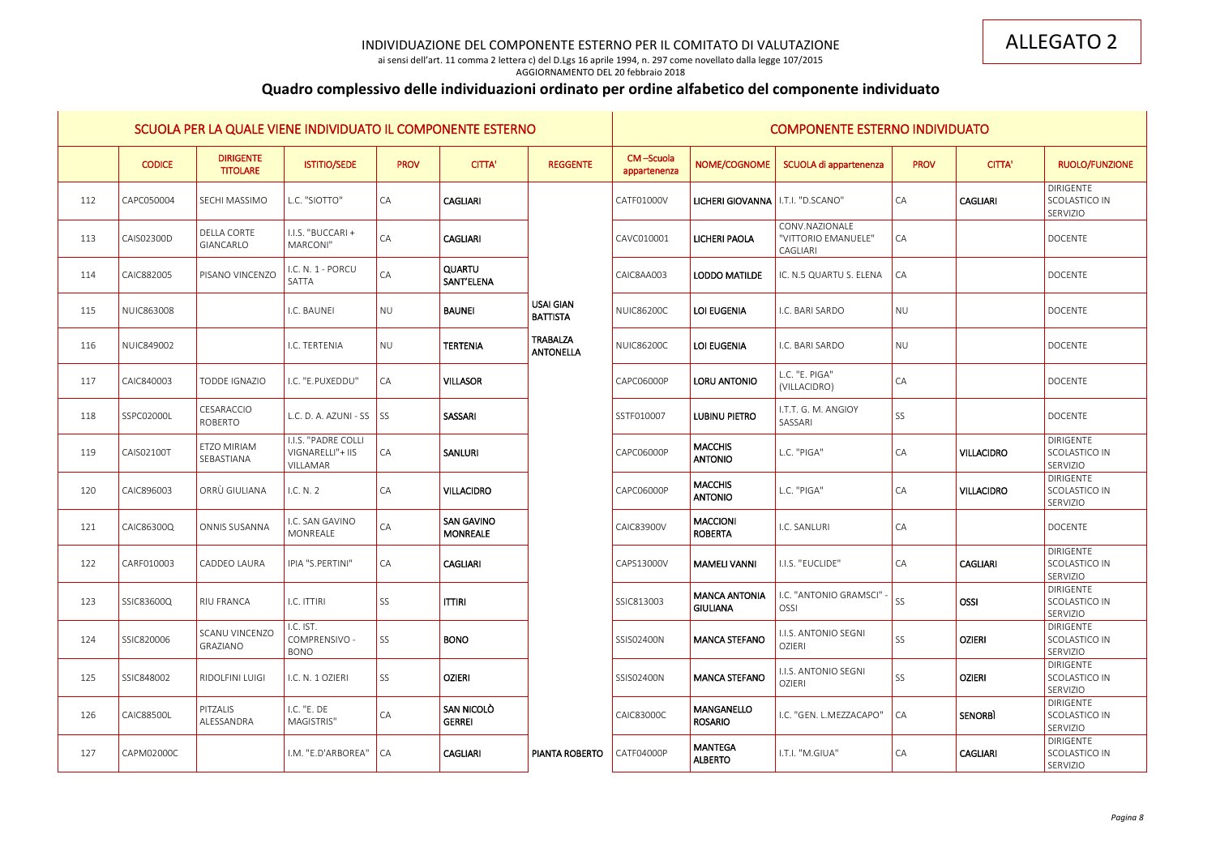ai sensi dell'art. 11 comma 2 lettera c) del D.Lgs 16 aprile 1994, n. 297 come novellato dalla legge 107/2015

### AGGIORNAMENTO DEL 20 febbraio 2018

# **Quadro complessivo delle individuazioni ordinato per ordine alfabetico del componente individuato**

|     |                   |                                     | SCUOLA PER LA QUALE VIENE INDIVIDUATO IL COMPONENTE ESTERNO |                 |                                      |                                     |                           |                                         | <b>COMPONENTE ESTERNO INDIVIDUATO</b>                    |                 |                   |                                               |
|-----|-------------------|-------------------------------------|-------------------------------------------------------------|-----------------|--------------------------------------|-------------------------------------|---------------------------|-----------------------------------------|----------------------------------------------------------|-----------------|-------------------|-----------------------------------------------|
|     | <b>CODICE</b>     | <b>DIRIGENTE</b><br><b>TITOLARE</b> | <b>ISTITIO/SEDE</b>                                         | <b>PROV</b>     | <b>CITTA'</b>                        | <b>REGGENTE</b>                     | CM-Scuola<br>appartenenza | NOME/COGNOME                            | SCUOLA di appartenenza                                   | <b>PROV</b>     | <b>CITTA'</b>     | <b>RUOLO/FUNZIONE</b>                         |
| 112 | CAPC050004        | <b>SECHI MASSIMO</b>                | L.C. "SIOTTO"                                               | CA              | <b>CAGLIARI</b>                      |                                     | CATF01000V                | LICHERI GIOVANNA   I.T.I. "D.SCANO"     |                                                          | CA              | <b>CAGLIARI</b>   | <b>DIRIGENTE</b><br>SCOLASTICO IN<br>SERVIZIO |
| 113 | CAIS02300D        | <b>DELLA CORTE</b><br>GIANCARLO     | I.I.S. "BUCCARI+<br>MARCONI"                                | CA              | <b>CAGLIARI</b>                      |                                     | CAVC010001                | LICHERI PAOLA                           | CONV.NAZIONALE<br>"VITTORIO EMANUELE"<br><b>CAGLIARI</b> | $\overline{CA}$ |                   | <b>DOCENTE</b>                                |
| 114 | CAIC882005        | PISANO VINCENZO                     | I.C. N. 1 - PORCU<br>SATTA                                  | CA              | <b>QUARTU</b><br>SANT'ELENA          |                                     | CAIC8AA003                | <b>LODDO MATILDE</b>                    | IC. N.5 QUARTU S. ELENA                                  | CA              |                   | <b>DOCENTE</b>                                |
| 115 | <b>NUIC863008</b> |                                     | I.C. BAUNEI                                                 | <b>NU</b>       | <b>BAUNEI</b>                        | <b>USAI GIAN</b><br><b>BATTISTA</b> | <b>NUIC86200C</b>         | LOI EUGENIA                             | I.C. BARI SARDO                                          | NU              |                   | <b>DOCENTE</b>                                |
| 116 | NUIC849002        |                                     | I.C. TERTENIA                                               | <b>NU</b>       | <b>TERTENIA</b>                      | <b>TRABALZA</b><br><b>ANTONELLA</b> | <b>NUIC86200C</b>         | LOI EUGENIA                             | I.C. BARI SARDO                                          | NU              |                   | <b>DOCENTE</b>                                |
| 117 | CAIC840003        | <b>TODDE IGNAZIO</b>                | I.C. "E.PUXEDDU"                                            | CA              | <b>VILLASOR</b>                      |                                     | CAPC06000P                | <b>LORU ANTONIO</b>                     | L.C. "E. PIGA"<br>(VILLACIDRO)                           | $\overline{CA}$ |                   | <b>DOCENTE</b>                                |
| 118 | SSPC02000L        | CESARACCIO<br>ROBERTO               | L.C. D. A. AZUNI - SS $\vert$ SS                            |                 | SASSARI                              |                                     | SSTF010007                | <b>LUBINU PIETRO</b>                    | I.T.T. G. M. ANGIOY<br>SASSARI                           | SS              |                   | <b>DOCENTE</b>                                |
| 119 | CAIS02100T        | ETZO MIRIAM<br>SEBASTIANA           | I.I.S. "PADRE COLLI<br>VIGNARELLI"+ IIS<br>VILLAMAR         | CA              | SANLURI                              |                                     | CAPC06000P                | <b>MACCHIS</b><br><b>ANTONIO</b>        | L.C. "PIGA"                                              | $\overline{CA}$ | <b>VILLACIDRO</b> | <b>DIRIGENTE</b><br>SCOLASTICO IN<br>SERVIZIO |
| 120 | CAIC896003        | ORRÙ GIULIANA                       | I.C. N. 2                                                   | CA              | <b>VILLACIDRO</b>                    |                                     | CAPC06000P                | <b>MACCHIS</b><br><b>ANTONIO</b>        | L.C. "PIGA"                                              | $\overline{CA}$ | <b>VILLACIDRO</b> | <b>DIRIGENTE</b><br>SCOLASTICO IN<br>SERVIZIO |
| 121 | CAIC86300Q        | ONNIS SUSANNA                       | I.C. SAN GAVINO<br>MONREALE                                 | ${\sf CA}$      | <b>SAN GAVINO</b><br><b>MONREALE</b> |                                     | CAIC83900V                | <b>MACCIONI</b><br><b>ROBERTA</b>       | I.C. SANLURI                                             | CA              |                   | <b>DOCENTE</b>                                |
| 122 | CARF010003        | CADDEO LAURA                        | IPIA "S.PERTINI"                                            | CA              | <b>CAGLIARI</b>                      |                                     | CAPS13000V                | <b>MAMELI VANNI</b>                     | <b>I.I.S. "EUCLIDE"</b>                                  | CA              | <b>CAGLIARI</b>   | <b>DIRIGENTE</b><br>SCOLASTICO IN<br>SERVIZIO |
| 123 | SSIC83600Q        | <b>RIU FRANCA</b>                   | I.C. ITTIRI                                                 | SS              | <b>ITTIRI</b>                        |                                     | SSIC813003                | <b>MANCA ANTONIA</b><br><b>GIULIANA</b> | I.C. "ANTONIO GRAMSCI"<br>OSSI                           | SS              | <b>OSSI</b>       | <b>DIRIGENTE</b><br>SCOLASTICO IN<br>SERVIZIO |
| 124 | SSIC820006        | <b>SCANU VINCENZO</b><br>GRAZIANO   | I.C. IST.<br>COMPRENSIVO -<br><b>BONO</b>                   | SS              | <b>BONO</b>                          |                                     | SSIS02400N                | <b>MANCA STEFANO</b>                    | I.I.S. ANTONIO SEGNI<br><b>OZIERI</b>                    | SS              | <b>OZIERI</b>     | DIRIGENTE<br>SCOLASTICO IN<br>SERVIZIO        |
| 125 | SSIC848002        | <b>RIDOLFINI LUIGI</b>              | I.C. N. 1 OZIERI                                            | SS              | <b>OZIERI</b>                        |                                     | SSIS02400N                | <b>MANCA STEFANO</b>                    | I.I.S. ANTONIO SEGNI<br><b>OZIERI</b>                    | SS              | <b>OZIERI</b>     | <b>DIRIGENTE</b><br>SCOLASTICO IN<br>SERVIZIO |
| 126 | <b>CAIC88500L</b> | PITZALIS<br>ALESSANDRA              | I.C. "E. DE<br>MAGISTRIS"                                   | CA              | <b>SAN NICOLO</b><br><b>GERREI</b>   |                                     | <b>CAIC83000C</b>         | <b>MANGANELLO</b><br><b>ROSARIO</b>     | I.C. "GEN. L.MEZZACAPO"                                  | $\overline{CA}$ | <b>SENORBI</b>    | <b>DIRIGENTE</b><br>SCOLASTICO IN<br>SERVIZIO |
| 127 | CAPM02000C        |                                     | I.M. "E.D'ARBOREA"                                          | $\overline{CA}$ | <b>CAGLIARI</b>                      | <b>PIANTA ROBERTO</b>               | CATF04000P                | <b>MANTEGA</b><br><b>ALBERTO</b>        | I.T.I. "M.GIUA"                                          | $\overline{CA}$ | <b>CAGLIARI</b>   | DIRIGENTE<br>SCOLASTICO IN<br>SERVIZIO        |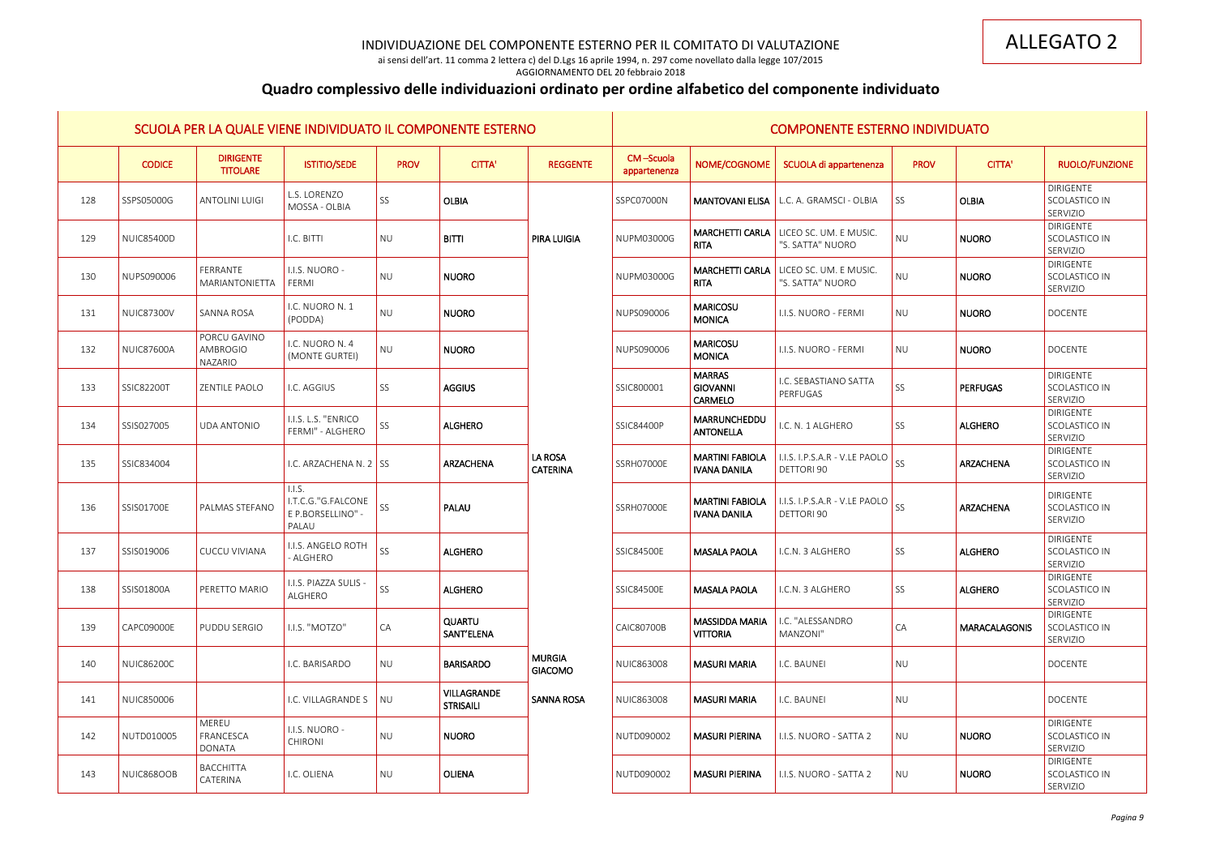ai sensi dell'art. 11 comma 2 lettera c) del D.Lgs 16 aprile 1994, n. 297 come novellato dalla legge 107/2015 AGGIORNAMENTO DEL 20 febbraio 2018

# **Quadro complessivo delle individuazioni ordinato per ordine alfabetico del componente individuato**

|     |                   |                                     | SCUOLA PER LA QUALE VIENE INDIVIDUATO IL COMPONENTE ESTERNO |             |                                        |                                 |                           |                                                    | <b>COMPONENTE ESTERNO INDIVIDUATO</b>                             |             |                      |                                               |
|-----|-------------------|-------------------------------------|-------------------------------------------------------------|-------------|----------------------------------------|---------------------------------|---------------------------|----------------------------------------------------|-------------------------------------------------------------------|-------------|----------------------|-----------------------------------------------|
|     | <b>CODICE</b>     | <b>DIRIGENTE</b><br><b>TITOLARE</b> | <b>ISTITIO/SEDE</b>                                         | <b>PROV</b> | <b>CITTA'</b>                          | <b>REGGENTE</b>                 | CM-Scuola<br>appartenenza | NOME/COGNOME                                       | SCUOLA di appartenenza                                            | <b>PROV</b> | <b>CITTA'</b>        | <b>RUOLO/FUNZIONE</b>                         |
| 128 | SSPS05000G        | <b>ANTOLINI LUIGI</b>               | L.S. LORENZO<br>MOSSA - OLBIA                               | <b>SS</b>   | <b>OLBIA</b>                           |                                 | SSPC07000N                | <b>MANTOVANI ELISA</b>                             | L.C. A. GRAMSCI - OLBIA                                           | SS          | <b>OLBIA</b>         | <b>DIRIGENTE</b><br>SCOLASTICO IN<br>SERVIZIO |
| 129 | <b>NUIC85400D</b> |                                     | I.C. BITTI                                                  | <b>NU</b>   | <b>BITTI</b>                           | <b>PIRA LUIGIA</b>              | NUPM03000G                | <b>RITA</b>                                        | <b>MARCHETTI CARLA</b> LICEO SC. UM. E MUSIC.<br>"S. SATTA" NUORO | <b>NU</b>   | <b>NUORO</b>         | <b>DIRIGENTE</b><br>SCOLASTICO IN<br>SERVIZIO |
| 130 | NUPS090006        | FERRANTE<br>MARIANTONIETTA          | I.I.S. NUORO -<br>FERMI                                     | <b>NU</b>   | <b>NUORO</b>                           |                                 | NUPM03000G                | <b>MARCHETTI CARLA</b><br><b>RITA</b>              | LICEO SC. UM. E MUSIC.<br>"S. SATTA" NUORO                        | <b>NU</b>   | <b>NUORO</b>         | DIRIGENTE<br>SCOLASTICO IN<br>SERVIZIO        |
| 131 | <b>NUIC87300V</b> | SANNA ROSA                          | I.C. NUORO N. 1<br>(PODDA)                                  | <b>NU</b>   | <b>NUORO</b>                           |                                 | NUPS090006                | <b>MARICOSU</b><br><b>MONICA</b>                   | I.I.S. NUORO - FERMI                                              | <b>NU</b>   | <b>NUORO</b>         | <b>DOCENTE</b>                                |
| 132 | <b>NUIC87600A</b> | PORCU GAVINO<br>AMBROGIO<br>NAZARIO | I.C. NUORO N. 4<br>(MONTE GURTEI)                           | <b>NU</b>   | <b>NUORO</b>                           |                                 | NUPS090006                | <b>MARICOSU</b><br><b>MONICA</b>                   | I.I.S. NUORO - FERMI                                              | <b>NU</b>   | <b>NUORO</b>         | <b>DOCENTE</b>                                |
| 133 | SSIC82200T        | ZENTILE PAOLO                       | I.C. AGGIUS                                                 | SS          | <b>AGGIUS</b>                          |                                 | SSIC800001                | <b>MARRAS</b><br><b>GIOVANNI</b><br><b>CARMELO</b> | I.C. SEBASTIANO SATTA<br>PERFUGAS                                 | SS          | <b>PERFUGAS</b>      | <b>DIRIGENTE</b><br>SCOLASTICO IN<br>SERVIZIO |
| 134 | SSIS027005        | <b>UDA ANTONIO</b>                  | I.I.S. L.S. "ENRICO<br>FERMI" - ALGHERO                     | SS          | <b>ALGHERO</b>                         |                                 | <b>SSIC84400P</b>         | MARRUNCHEDDU<br><b>ANTONELLA</b>                   | I.C. N. 1 ALGHERO                                                 | SS          | <b>ALGHERO</b>       | <b>DIRIGENTE</b><br>SCOLASTICO IN<br>SERVIZIO |
| 135 | SSIC834004        |                                     | I.C. ARZACHENA N. 2 $\overline{\phantom{a}}$ SS             |             | ARZACHENA                              | LA ROSA<br><b>CATERINA</b>      | SSRH07000E                | <b>MARTINI FABIOLA</b><br><b>IVANA DANILA</b>      | I.I.S. I.P.S.A.R - V.LE PAOLO<br>DETTORI 90                       | SS          | ARZACHENA            | <b>DIRIGENTE</b><br>SCOLASTICO IN<br>SERVIZIO |
| 136 | SSIS01700E        | PALMAS STEFANO                      | 1.1.5.<br>I.T.C.G."G.FALCONE<br>E P.BORSELLINO" -<br>PALAU  | <b>SS</b>   | PALAU                                  |                                 | SSRH07000E                | <b>MARTINI FABIOLA</b><br><b>IVANA DANILA</b>      | I.I.S. I.P.S.A.R - V.LE PAOLO<br>DETTORI 90                       | SS          | ARZACHENA            | <b>DIRIGENTE</b><br>SCOLASTICO IN<br>SERVIZIO |
| 137 | SSIS019006        | <b>CUCCU VIVIANA</b>                | I.I.S. ANGELO ROTH<br>- ALGHERO                             | SS          | <b>ALGHERO</b>                         |                                 | SSIC84500E                | <b>MASALA PAOLA</b>                                | I.C.N. 3 ALGHERO                                                  | SS          | <b>ALGHERO</b>       | <b>DIRIGENTE</b><br>SCOLASTICO IN<br>SERVIZIO |
| 138 | SSIS01800A        | PERETTO MARIO                       | I.I.S. PIAZZA SULIS -<br>ALGHERO                            | SS          | <b>ALGHERO</b>                         |                                 | <b>SSIC84500E</b>         | <b>MASALA PAOLA</b>                                | I.C.N. 3 ALGHERO                                                  | SS          | <b>ALGHERO</b>       | <b>DIRIGENTE</b><br>SCOLASTICO IN<br>SERVIZIO |
| 139 | CAPC09000E        | PUDDU SERGIO                        | I.I.S. "MOTZO"                                              | CA          | <b>QUARTU</b><br>SANT'ELENA            |                                 | <b>CAIC80700B</b>         | <b>MASSIDDA MARIA</b><br><b>VITTORIA</b>           | I.C. "ALESSANDRO<br>MANZONI"                                      | CA          | <b>MARACALAGONIS</b> | DIRIGENTE<br>SCOLASTICO IN<br>SERVIZIO        |
| 140 | <b>NUIC86200C</b> |                                     | I.C. BARISARDO                                              | <b>NU</b>   | <b>BARISARDO</b>                       | <b>MURGIA</b><br><b>GIACOMO</b> | NUIC863008                | <b>MASURI MARIA</b>                                | I.C. BAUNEI                                                       | <b>NU</b>   |                      | <b>DOCENTE</b>                                |
| 141 | <b>NUIC850006</b> |                                     | I.C. VILLAGRANDE S                                          | <b>NU</b>   | <b>VILLAGRANDE</b><br><b>STRISAILI</b> | <b>SANNA ROSA</b>               | <b>NUIC863008</b>         | <b>MASURI MARIA</b>                                | I.C. BAUNEI                                                       | <b>NU</b>   |                      | <b>DOCENTE</b>                                |
| 142 | NUTD010005        | MEREU<br>FRANCESCA<br><b>DONATA</b> | I.I.S. NUORO -<br><b>CHIRONI</b>                            | <b>NU</b>   | <b>NUORO</b>                           |                                 | NUTD090002                | <b>MASURI PIERINA</b>                              | I.I.S. NUORO - SATTA 2                                            | <b>NU</b>   | <b>NUORO</b>         | DIRIGENTE<br>SCOLASTICO IN<br>SERVIZIO        |
| 143 | NUIC868OOB        | <b>BACCHITTA</b><br>CATERINA        | I.C. OLIENA                                                 | <b>NU</b>   | <b>OLIENA</b>                          |                                 | NUTD090002                | <b>MASURI PIERINA</b>                              | I.I.S. NUORO - SATTA 2                                            | <b>NU</b>   | <b>NUORO</b>         | <b>DIRIGENTE</b><br>SCOLASTICO IN<br>SERVIZIO |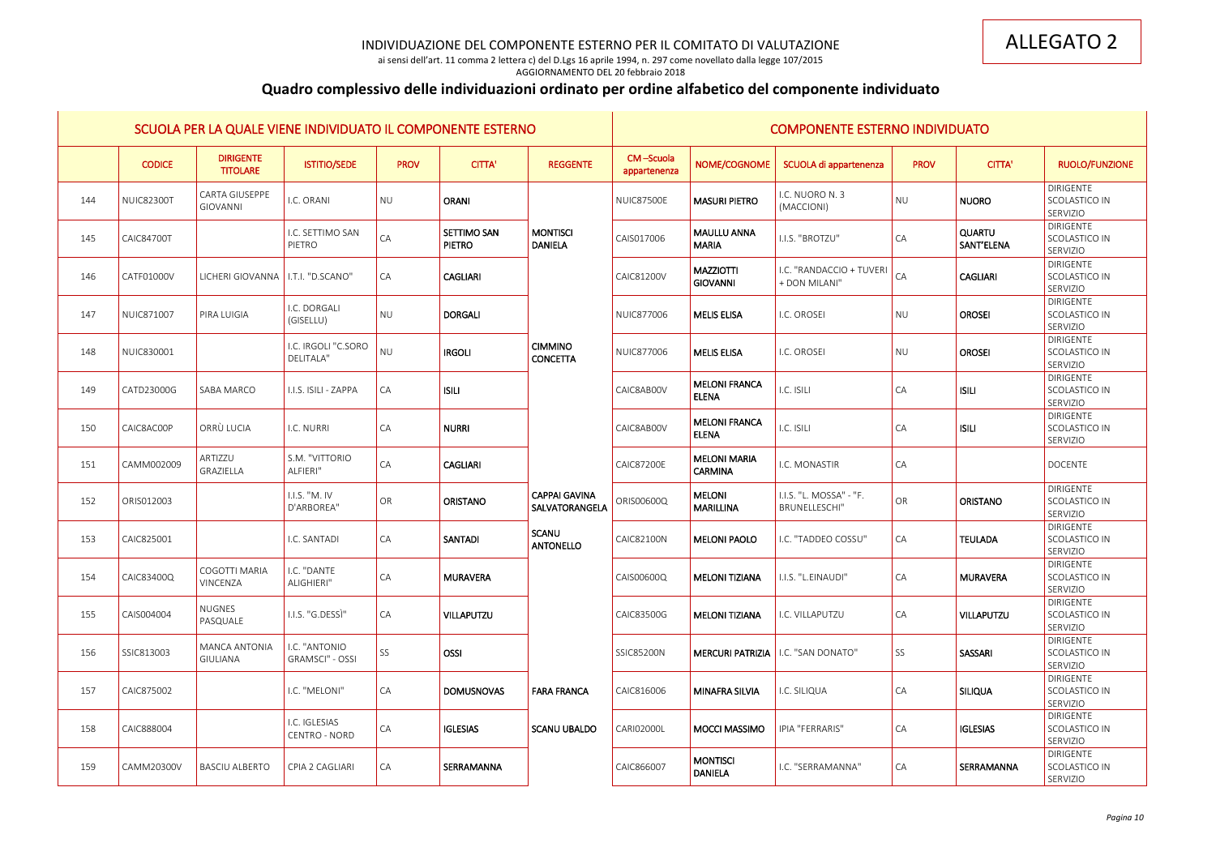ai sensi dell'art. 11 comma 2 lettera c) del D.Lgs 16 aprile 1994, n. 297 come novellato dalla legge 107/2015 AGGIORNAMENTO DEL 20 febbraio 2018

# **Quadro complessivo delle individuazioni ordinato per ordine alfabetico del componente individuato**

|     |                   | SCUOLA PER LA QUALE VIENE INDIVIDUATO IL COMPONENTE ESTERNO |                                         |             |                              |                                        |                           |                                             | <b>COMPONENTE ESTERNO INDIVIDUATO</b>     |                 |                             |                                               |
|-----|-------------------|-------------------------------------------------------------|-----------------------------------------|-------------|------------------------------|----------------------------------------|---------------------------|---------------------------------------------|-------------------------------------------|-----------------|-----------------------------|-----------------------------------------------|
|     | <b>CODICE</b>     | <b>DIRIGENTE</b><br><b>TITOLARE</b>                         | <b>ISTITIO/SEDE</b>                     | <b>PROV</b> | <b>CITTA'</b>                | <b>REGGENTE</b>                        | CM-Scuola<br>appartenenza | NOME/COGNOME                                | SCUOLA di appartenenza                    | <b>PROV</b>     | <b>CITTA'</b>               | <b>RUOLO/FUNZIONE</b>                         |
| 144 | <b>NUIC82300T</b> | <b>CARTA GIUSEPPE</b><br>GIOVANNI                           | I.C. ORANI                              | <b>NU</b>   | <b>ORANI</b>                 |                                        | <b>NUIC87500E</b>         | <b>MASURI PIETRO</b>                        | I.C. NUORO N. 3<br>(MACCIONI)             | <b>NU</b>       | <b>NUORO</b>                | <b>DIRIGENTE</b><br>SCOLASTICO IN<br>SERVIZIO |
| 145 | <b>CAIC84700T</b> |                                                             | I.C. SETTIMO SAN<br>PIETRO              | ${\sf CA}$  | SETTIMO SAN<br><b>PIETRO</b> | <b>MONTISCI</b><br>DANIELA             | CAIS017006                | <b>MAULLU ANNA</b><br><b>MARIA</b>          | I.I.S. "BROTZU"                           | CA              | <b>QUARTU</b><br>SANT'ELENA | DIRIGENTE<br>SCOLASTICO IN<br>SERVIZIO        |
| 146 | CATF01000V        | LICHERI GIOVANNA   I.T.I. "D.SCANO"                         |                                         | CA          | <b>CAGLIARI</b>              |                                        | CAIC81200V                | <b>MAZZIOTTI</b><br><b>GIOVANNI</b>         | I.C. "RANDACCIO + TUVERI<br>+ DON MILANI" | CA              | <b>CAGLIARI</b>             | DIRIGENTE<br>SCOLASTICO IN<br>SERVIZIO        |
| 147 | NUIC871007        | PIRA LUIGIA                                                 | I.C. DORGALI<br>(GISELLU)               | <b>NU</b>   | <b>DORGALI</b>               |                                        | <b>NUIC877006</b>         | <b>MELIS ELISA</b>                          | I.C. OROSEI                               | <b>NU</b>       | <b>OROSEI</b>               | <b>DIRIGENTE</b><br>SCOLASTICO IN<br>SERVIZIO |
| 148 | NUIC830001        |                                                             | I.C. IRGOLI "C.SORO<br>DELITALA"        | NU          | <b>IRGOLI</b>                | <b>CIMMINO</b><br><b>CONCETTA</b>      | <b>NUIC877006</b>         | <b>MELIS ELISA</b>                          | I.C. OROSEI                               | <b>NU</b>       | <b>OROSEI</b>               | <b>DIRIGENTE</b><br>SCOLASTICO IN<br>SERVIZIO |
| 149 | CATD23000G        | <b>SABA MARCO</b>                                           | I.I.S. ISILI - ZAPPA                    | CA          | <b>ISILI</b>                 |                                        | CAIC8AB00V                | <b>MELONI FRANCA</b><br><b>ELENA</b>        | I.C. ISILI                                | $\overline{CA}$ | <b>ISILI</b>                | <b>DIRIGENTE</b><br>SCOLASTICO IN<br>SERVIZIO |
| 150 | CAIC8AC00P        | ORRÙ LUCIA                                                  | I.C. NURRI                              | CA          | <b>NURRI</b>                 |                                        | CAIC8AB00V                | <b>MELONI FRANCA</b><br><b>ELENA</b>        | I.C. ISILI                                | CA              | <b>ISILI</b>                | <b>DIRIGENTE</b><br>SCOLASTICO IN<br>SERVIZIO |
| 151 | CAMM002009        | ARTIZZU<br>GRAZIELLA                                        | S.M. "VITTORIO<br>ALFIERI"              | CA          | <b>CAGLIARI</b>              |                                        | <b>CAIC87200E</b>         | <b>MELONI MARIA</b><br><b>CARMINA</b>       | I.C. MONASTIR                             | $\overline{CA}$ |                             | <b>DOCENTE</b>                                |
| 152 | ORIS012003        |                                                             | I.I.S. "M. IV<br>D'ARBOREA"             | OR          | <b>ORISTANO</b>              | <b>CAPPAI GAVINA</b><br>SALVATORANGELA | ORIS00600Q                | <b>MELONI</b><br><b>MARILLINA</b>           | I.I.S. "L. MOSSA" - "F.<br>BRUNELLESCHI"  | OR              | <b>ORISTANO</b>             | <b>DIRIGENTE</b><br>SCOLASTICO IN<br>SERVIZIO |
| 153 | CAIC825001        |                                                             | I.C. SANTADI                            | CA          | <b>SANTADI</b>               | <b>SCANU</b><br><b>ANTONELLO</b>       | <b>CAIC82100N</b>         | <b>MELONI PAOLO</b>                         | I.C. "TADDEO COSSU"                       | CA              | <b>TEULADA</b>              | <b>DIRIGENTE</b><br>SCOLASTICO IN<br>SERVIZIO |
| 154 | CAIC83400Q        | COGOTTI MARIA<br>VINCENZA                                   | I.C. "DANTE<br>ALIGHIERI"               | CA          | <b>MURAVERA</b>              |                                        | CAIS00600Q                | <b>MELONI TIZIANA</b>                       | I.I.S. "L.EINAUDI"                        | $\overline{CA}$ | <b>MURAVERA</b>             | <b>DIRIGENTE</b><br>SCOLASTICO IN<br>SERVIZIO |
| 155 | CAIS004004        | <b>NUGNES</b><br>PASQUALE                                   | I.I.S. "G.DESSI"                        | CA          | <b>VILLAPUTZU</b>            |                                        | CAIC83500G                | <b>MELONI TIZIANA</b>                       | I.C. VILLAPUTZU                           | $\overline{CA}$ | <b>VILLAPUTZU</b>           | DIRIGENTE<br>SCOLASTICO IN<br>SERVIZIO        |
| 156 | SSIC813003        | MANCA ANTONIA<br><b>GIULIANA</b>                            | I.C. "ANTONIO<br><b>GRAMSCI" - OSSI</b> | SS          | OSSI                         |                                        | <b>SSIC85200N</b>         | <b>MERCURI PATRIZIA   I.C. "SAN DONATO"</b> |                                           | SS              | SASSARI                     | DIRIGENTE<br>SCOLASTICO IN<br>SERVIZIO        |
| 157 | CAIC875002        |                                                             | I.C. "MELONI"                           | CA          | <b>DOMUSNOVAS</b>            | <b>FARA FRANCA</b>                     | CAIC816006                | MINAFRA SILVIA                              | I.C. SILIQUA                              | $\overline{CA}$ | <b>SILIQUA</b>              | <b>DIRIGENTE</b><br>SCOLASTICO IN<br>SERVIZIO |
| 158 | CAIC888004        |                                                             | I.C. IGLESIAS<br>CENTRO - NORD          | CA          | <b>IGLESIAS</b>              | SCANU UBALDO                           | <b>CARIO2000L</b>         | <b>MOCCI MASSIMO</b>                        | <b>IPIA "FERRARIS"</b>                    | $\overline{CA}$ | <b>IGLESIAS</b>             | <b>DIRIGENTE</b><br>SCOLASTICO IN<br>SERVIZIO |
| 159 | CAMM20300V        | <b>BASCIU ALBERTO</b>                                       | CPIA 2 CAGLIARI                         | CA          | SERRAMANNA                   |                                        | CAIC866007                | <b>MONTISCI</b><br><b>DANIELA</b>           | I.C. "SERRAMANNA"                         | $\overline{CA}$ | SERRAMANNA                  | DIRIGENTE<br>SCOLASTICO IN<br>SERVIZIO        |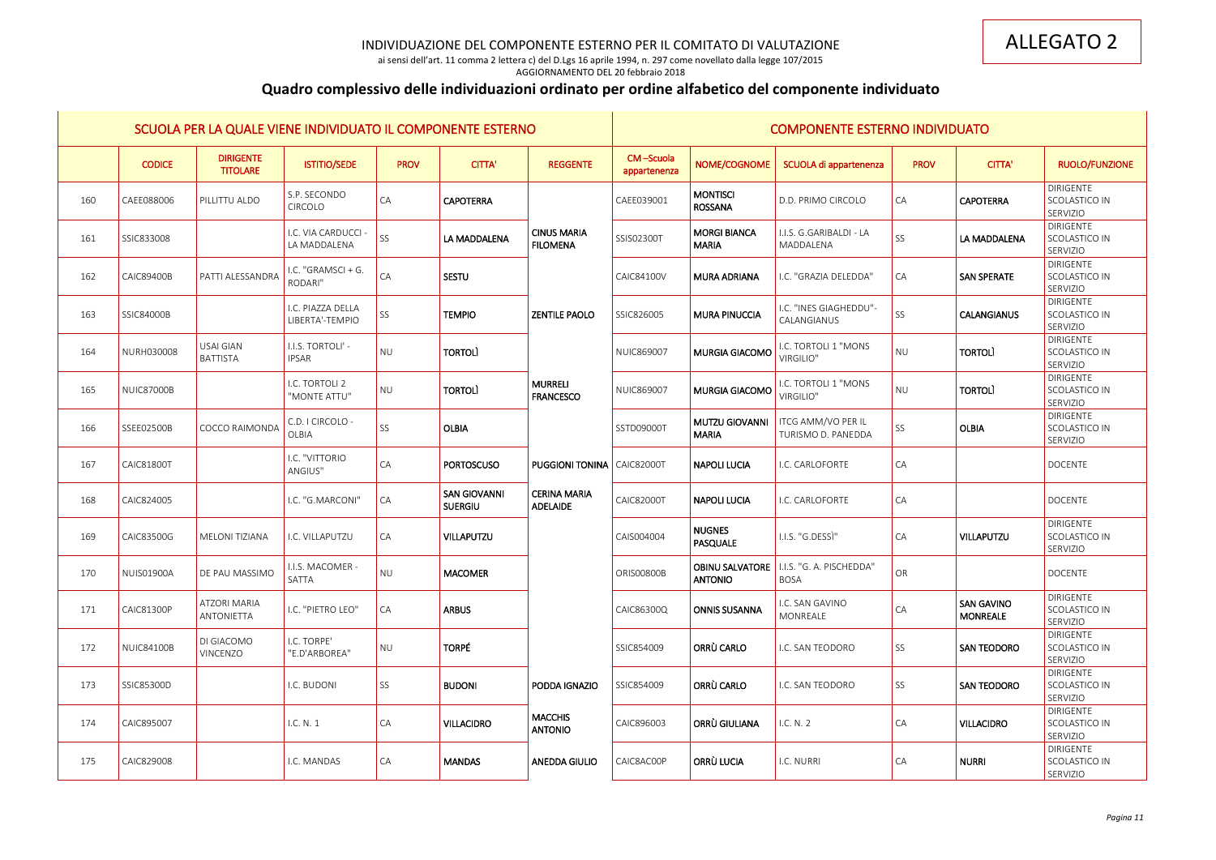ai sensi dell'art. 11 comma 2 lettera c) del D.Lgs 16 aprile 1994, n. 297 come novellato dalla legge 107/2015

## AGGIORNAMENTO DEL 20 febbraio 2018

# **Quadro complessivo delle individuazioni ordinato per ordine alfabetico del componente individuato**

|     |                   | SCUOLA PER LA QUALE VIENE INDIVIDUATO IL COMPONENTE ESTERNO |                                      |                 |                                       |                                        |                           |                                     | <b>COMPONENTE ESTERNO INDIVIDUATO</b>                     |                 |                                      |                                               |
|-----|-------------------|-------------------------------------------------------------|--------------------------------------|-----------------|---------------------------------------|----------------------------------------|---------------------------|-------------------------------------|-----------------------------------------------------------|-----------------|--------------------------------------|-----------------------------------------------|
|     | <b>CODICE</b>     | <b>DIRIGENTE</b><br><b>TITOLARE</b>                         | <b>ISTITIO/SEDE</b>                  | <b>PROV</b>     | <b>CITTA'</b>                         | <b>REGGENTE</b>                        | CM-Scuola<br>appartenenza | NOME/COGNOME                        | SCUOLA di appartenenza                                    | <b>PROV</b>     | <b>CITTA'</b>                        | <b>RUOLO/FUNZIONE</b>                         |
| 160 | CAEE088006        | PILLITTU ALDO                                               | S.P. SECONDO<br>CIRCOLO              | $\overline{CA}$ | <b>CAPOTERRA</b>                      |                                        | CAEE039001                | <b>MONTISCI</b><br><b>ROSSANA</b>   | D.D. PRIMO CIRCOLO                                        | $\overline{CA}$ | <b>CAPOTERRA</b>                     | <b>DIRIGENTE</b><br>SCOLASTICO IN<br>SERVIZIO |
| 161 | SSIC833008        |                                                             | I.C. VIA CARDUCCI -<br>LA MADDALENA  | SS <sub>1</sub> | LA MADDALENA                          | <b>CINUS MARIA</b><br><b>FILOMENA</b>  | SSIS02300T                | <b>MORGI BIANCA</b><br><b>MARIA</b> | I.I.S. G.GARIBALDI - LA<br>MADDALENA                      | SS              | LA MADDALENA                         | <b>DIRIGENTE</b><br>SCOLASTICO IN<br>SERVIZIO |
| 162 | <b>CAIC89400B</b> | PATTI ALESSANDRA                                            | I.C. "GRAMSCI + G.<br>RODARI"        | CA              | <b>SESTU</b>                          |                                        | <b>CAIC84100V</b>         | <b>MURA ADRIANA</b>                 | I.C. "GRAZIA DELEDDA"                                     | <b>CA</b>       | <b>SAN SPERATE</b>                   | DIRIGENTE<br>SCOLASTICO IN<br>SERVIZIO        |
| 163 | <b>SSIC84000B</b> |                                                             | I.C. PIAZZA DELLA<br>LIBERTA'-TEMPIO | SS              | <b>TEMPIO</b>                         | <b>ZENTILE PAOLO</b>                   | SSIC826005                | <b>MURA PINUCCIA</b>                | I.C. "INES GIAGHEDDU"-<br>CALANGIANUS                     | SS <sub>1</sub> | <b>CALANGIANUS</b>                   | <b>DIRIGENTE</b><br>SCOLASTICO IN<br>SERVIZIO |
| 164 | NURH030008        | <b>USAI GIAN</b><br><b>BATTISTA</b>                         | I.I.S. TORTOLI' -<br><b>IPSAR</b>    | NU              | <b>TORTOLI</b>                        |                                        | NUIC869007                | MURGIA GIACOMO                      | <b>I.C. TORTOLI 1 "MONS</b><br><b>VIRGILIO"</b>           | NU              | <b>TORTOLI</b>                       | <b>DIRIGENTE</b><br>SCOLASTICO IN<br>SERVIZIO |
| 165 | <b>NUIC87000B</b> |                                                             | I.C. TORTOLI 2<br>"MONTE ATTU"       | NU              | <b>TORTOLI</b>                        | <b>MURRELI</b><br><b>FRANCESCO</b>     | <b>NUIC869007</b>         | <b>MURGIA GIACOMO</b>               | I.C. TORTOLI 1 "MONS<br><b>VIRGILIO"</b>                  | NU              | <b>TORTOLI</b>                       | DIRIGENTE<br>SCOLASTICO IN<br>SERVIZIO        |
| 166 | SSEE02500B        | <b>COCCO RAIMONDA</b>                                       | C.D. I CIRCOLO -<br>OLBIA            | SS <sub>3</sub> | <b>OLBIA</b>                          |                                        | SSTD09000T                | MUTZU GIOVANNI<br><b>MARIA</b>      | ITCG AMM/VO PER IL<br>TURISMO D. PANEDDA                  | SS              | <b>OLBIA</b>                         | DIRIGENTE<br>SCOLASTICO IN<br>SERVIZIO        |
| 167 | CAIC81800T        |                                                             | I.C. "VITTORIO<br>ANGIUS"            | $\overline{CA}$ | <b>PORTOSCUSO</b>                     | <b>PUGGIONI TONINA</b>   CAIC82000T    |                           | <b>NAPOLI LUCIA</b>                 | I.C. CARLOFORTE                                           | $\overline{CA}$ |                                      | <b>DOCENTE</b>                                |
| 168 | CAIC824005        |                                                             | I.C. "G.MARCONI"                     | $\overline{CA}$ | <b>SAN GIOVANNI</b><br><b>SUERGIU</b> | <b>CERINA MARIA</b><br><b>ADELAIDE</b> | <b>CAIC82000T</b>         | NAPOLI LUCIA                        | I.C. CARLOFORTE                                           | $\overline{CA}$ |                                      | <b>DOCENTE</b>                                |
| 169 | CAIC83500G        | MELONI TIZIANA                                              | I.C. VILLAPUTZU                      | $\overline{CA}$ | VILLAPUTZU                            |                                        | CAIS004004                | <b>NUGNES</b><br><b>PASQUALE</b>    | I.I.S. "G.DESSI"                                          | $\overline{CA}$ | VILLAPUTZU                           | <b>DIRIGENTE</b><br>SCOLASTICO IN<br>SERVIZIO |
| 170 | <b>NUIS01900A</b> | DE PAU MASSIMO                                              | I.I.S. MACOMER -<br>SATTA            | <b>NU</b>       | <b>MACOMER</b>                        |                                        | ORIS00800B                | <b>ANTONIO</b>                      | <b>OBINU SALVATORE</b>   I.I.S. "G. A. PISCHEDDA"<br>BOSA | OR              |                                      | <b>DOCENTE</b>                                |
| 171 | CAIC81300P        | <b>ATZORI MARIA</b><br>ANTONIETTA                           | I.C. "PIETRO LEO"                    | $\overline{CA}$ | <b>ARBUS</b>                          |                                        | CAIC86300Q                | <b>ONNIS SUSANNA</b>                | I.C. SAN GAVINO<br>MONREALE                               | $\overline{CA}$ | <b>SAN GAVINO</b><br><b>MONREALE</b> | <b>DIRIGENTE</b><br>SCOLASTICO IN<br>SERVIZIO |
| 172 | <b>NUIC84100B</b> | DI GIACOMO<br>VINCENZO                                      | I.C. TORPE'<br>"E.D'ARBOREA"         | NU              | <b>TORPÉ</b>                          |                                        | SSIC854009                | ORRÙ CARLO                          | I.C. SAN TEODORO                                          | SS              | <b>SAN TEODORO</b>                   | <b>DIRIGENTE</b><br>SCOLASTICO IN<br>SERVIZIO |
| 173 | SSIC85300D        |                                                             | I.C. BUDONI                          | SS <sub>1</sub> | <b>BUDONI</b>                         | <b>PODDA IGNAZIO</b>                   | SSIC854009                | ORRÙ CARLO                          | I.C. SAN TEODORO                                          | SS              | <b>SAN TEODORO</b>                   | DIRIGENTE<br>SCOLASTICO IN<br>SERVIZIO        |
| 174 | CAIC895007        |                                                             | I.C. N. 1                            | $\overline{CA}$ | <b>VILLACIDRO</b>                     | <b>MACCHIS</b><br><b>ANTONIO</b>       | CAIC896003                | ORRÙ GIULIANA                       | I.C. N. 2                                                 | $\overline{CA}$ | <b>VILLACIDRO</b>                    | DIRIGENTE<br>SCOLASTICO IN<br>SERVIZIO        |
| 175 | CAIC829008        |                                                             | I.C. MANDAS                          | $\overline{CA}$ | <b>MANDAS</b>                         | <b>ANEDDA GIULIO</b>                   | CAIC8AC00P                | ORRÙ LUCIA                          | I.C. NURRI                                                | $\overline{CA}$ | NURRI                                | DIRIGENTE<br>SCOLASTICO IN<br>SERVIZIO        |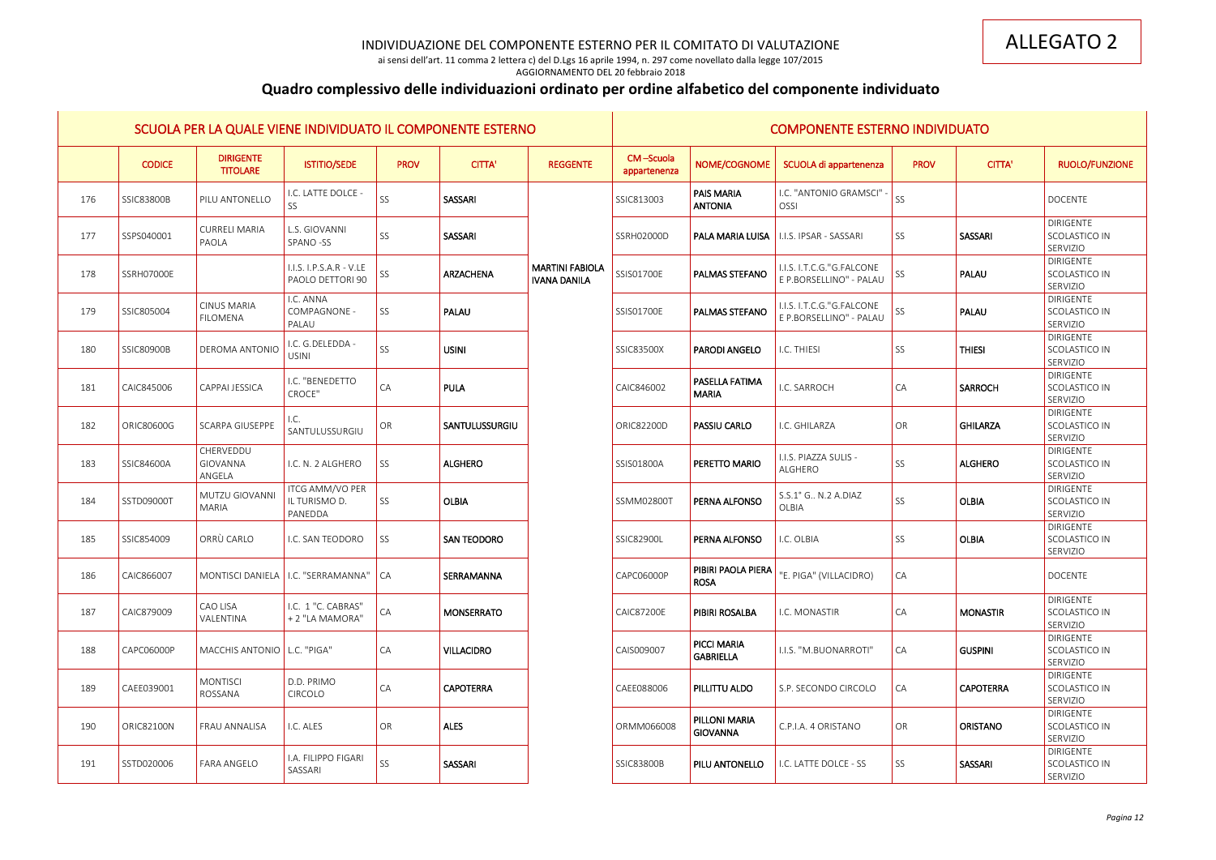ai sensi dell'art. 11 comma 2 lettera c) del D.Lgs 16 aprile 1994, n. 297 come novellato dalla legge 107/2015

### AGGIORNAMENTO DEL 20 febbraio 2018

# **Quadro complessivo delle individuazioni ordinato per ordine alfabetico del componente individuato**

|     |                   |                                       | SCUOLA PER LA QUALE VIENE INDIVIDUATO IL COMPONENTE ESTERNO |             |                    |                                               |                           |                                        | <b>COMPONENTE ESTERNO INDIVIDUATO</b>                |                 |                  |                                               |
|-----|-------------------|---------------------------------------|-------------------------------------------------------------|-------------|--------------------|-----------------------------------------------|---------------------------|----------------------------------------|------------------------------------------------------|-----------------|------------------|-----------------------------------------------|
|     | <b>CODICE</b>     | <b>DIRIGENTE</b><br><b>TITOLARE</b>   | <b>ISTITIO/SEDE</b>                                         | <b>PROV</b> | <b>CITTA'</b>      | <b>REGGENTE</b>                               | CM-Scuola<br>appartenenza | NOME/COGNOME                           | SCUOLA di appartenenza                               | <b>PROV</b>     | <b>CITTA'</b>    | <b>RUOLO/FUNZIONE</b>                         |
| 176 | <b>SSIC83800B</b> | PILU ANTONELLO                        | I.C. LATTE DOLCE -<br>SS                                    | SS          | SASSARI            |                                               | SSIC813003                | <b>PAIS MARIA</b><br><b>ANTONIA</b>    | I.C. "ANTONIO GRAMSCI"<br>OSSI                       | SS <sub>1</sub> |                  | <b>DOCENTE</b>                                |
| 177 | SSPS040001        | <b>CURRELI MARIA</b><br>PAOLA         | L.S. GIOVANNI<br>SPANO-SS                                   | SS          | SASSARI            |                                               | SSRH02000D                | PALA MARIA LUISA                       | <b>I.I.S. IPSAR - SASSARI</b>                        | SS              | SASSARI          | DIRIGENTE<br>SCOLASTICO IN<br>SERVIZIO        |
| 178 | SSRH07000E        |                                       | I.I.S. I.P.S.A.R - V.LE<br>PAOLO DETTORI 90                 | SS          | <b>ARZACHENA</b>   | <b>MARTINI FABIOLA</b><br><b>IVANA DANILA</b> | SSIS01700E                | <b>PALMAS STEFANO</b>                  | I.I.S. I.T.C.G."G.FALCONE<br>E P.BORSELLINO" - PALAU | SS <sub>1</sub> | PALAU            | <b>DIRIGENTE</b><br>SCOLASTICO IN<br>SERVIZIO |
| 179 | SSIC805004        | <b>CINUS MARIA</b><br><b>FILOMENA</b> | I.C. ANNA<br>COMPAGNONE -<br>PALAU                          | SS          | PALAU              |                                               | SSIS01700E                | <b>PALMAS STEFANO</b>                  | I.I.S. I.T.C.G."G.FALCONE<br>E P.BORSELLINO" - PALAU | SS              | PALAU            | DIRIGENTE<br>SCOLASTICO IN<br>SERVIZIO        |
| 180 | <b>SSIC80900B</b> | <b>DEROMA ANTONIO</b>                 | I.C. G.DELEDDA -<br><b>USINI</b>                            | SS          | <b>USINI</b>       |                                               | SSIC83500X                | <b>PARODI ANGELO</b>                   | I.C. THIESI                                          | SS <sub>1</sub> | <b>THIESI</b>    | DIRIGENTE<br>SCOLASTICO IN<br>SERVIZIO        |
| 181 | CAIC845006        | CAPPAI JESSICA                        | I.C. "BENEDETTO<br>CROCE"                                   | CA          | <b>PULA</b>        |                                               | CAIC846002                | <b>PASELLA FATIMA</b><br><b>MARIA</b>  | I.C. SARROCH                                         | CA              | <b>SARROCH</b>   | <b>DIRIGENTE</b><br>SCOLASTICO IN<br>SERVIZIO |
| 182 | ORIC80600G        | SCARPA GIUSEPPE                       | I.C.<br>SANTULUSSURGIU                                      | OR          | SANTULUSSURGIU     |                                               | <b>ORIC82200D</b>         | <b>PASSIU CARLO</b>                    | I.C. GHILARZA                                        | OR              | <b>GHILARZA</b>  | DIRIGENTE<br>SCOLASTICO IN<br>SERVIZIO        |
| 183 | SSIC84600A        | CHERVEDDU<br>GIOVANNA<br>ANGELA       | I.C. N. 2 ALGHERO                                           | SS          | <b>ALGHERO</b>     |                                               | SSIS01800A                | PERETTO MARIO                          | I.I.S. PIAZZA SULIS -<br>ALGHERO                     | SS              | <b>ALGHERO</b>   | <b>DIRIGENTE</b><br>SCOLASTICO IN<br>SERVIZIO |
| 184 | SSTD09000T        | MUTZU GIOVANNI<br><b>MARIA</b>        | ITCG AMM/VO PER<br>IL TURISMO D.<br>PANEDDA                 | SS          | <b>OLBIA</b>       |                                               | SSMM02800T                | <b>PERNA ALFONSO</b>                   | S.S.1° G N.2 A.DIAZ<br><b>OLBIA</b>                  | SS              | <b>OLBIA</b>     | <b>DIRIGENTE</b><br>SCOLASTICO IN<br>SERVIZIO |
| 185 | SSIC854009        | ORRÙ CARLO                            | I.C. SAN TEODORO                                            | SS          | <b>SAN TEODORO</b> |                                               | SSIC82900L                | <b>PERNA ALFONSO</b>                   | I.C. OLBIA                                           | SS <sub>1</sub> | <b>OLBIA</b>     | DIRIGENTE<br>SCOLASTICO IN<br>SERVIZIO        |
| 186 | CAIC866007        |                                       | MONTISCI DANIELA   I.C. "SERRAMANNA"   CA                   |             | SERRAMANNA         |                                               | CAPC06000P                | PIBIRI PAOLA PIERA<br><b>ROSA</b>      | "E. PIGA" (VILLACIDRO)                               | $\overline{CA}$ |                  | DOCENTE                                       |
| 187 | CAIC879009        | CAO LISA<br>VALENTINA                 | I.C. 1 "C. CABRAS"<br>+2 "LA MAMORA"                        | CA          | <b>MONSERRATO</b>  |                                               | <b>CAIC87200E</b>         | <b>PIBIRI ROSALBA</b>                  | I.C. MONASTIR                                        | CA              | <b>MONASTIR</b>  | DIRIGENTE<br>SCOLASTICO IN<br>SERVIZIO        |
| 188 | CAPC06000P        | MACCHIS ANTONIO   L.C. "PIGA"         |                                                             | CA          | <b>VILLACIDRO</b>  |                                               | CAIS009007                | <b>PICCI MARIA</b><br><b>GABRIELLA</b> | I.I.S. "M.BUONARROTI"                                | CA              | <b>GUSPINI</b>   | DIRIGENTE<br>SCOLASTICO IN<br>SERVIZIO        |
| 189 | CAEE039001        | <b>MONTISCI</b><br>ROSSANA            | D.D. PRIMO<br>CIRCOLO                                       | CA          | <b>CAPOTERRA</b>   |                                               | CAEE088006                | <b>PILLITTU ALDO</b>                   | S.P. SECONDO CIRCOLO                                 | CA              | <b>CAPOTERRA</b> | DIRIGENTE<br>SCOLASTICO IN<br>SERVIZIO        |
| 190 | ORIC82100N        | FRAU ANNALISA                         | I.C. ALES                                                   | OR          | <b>ALES</b>        |                                               | ORMM066008                | PILLONI MARIA<br><b>GIOVANNA</b>       | C.P.I.A. 4 ORISTANO                                  | OR              | <b>ORISTANO</b>  | DIRIGENTE<br>SCOLASTICO IN<br>SERVIZIO        |
| 191 | SSTD020006        | <b>FARA ANGELO</b>                    | <b>I.A. FILIPPO FIGARI</b><br>SASSARI                       | SS          | SASSARI            |                                               | <b>SSIC83800B</b>         | <b>PILU ANTONELLO</b>                  | I.C. LATTE DOLCE - SS                                | SS <sub>1</sub> | SASSARI          | <b>DIRIGENTE</b><br>SCOLASTICO IN<br>SERVIZIO |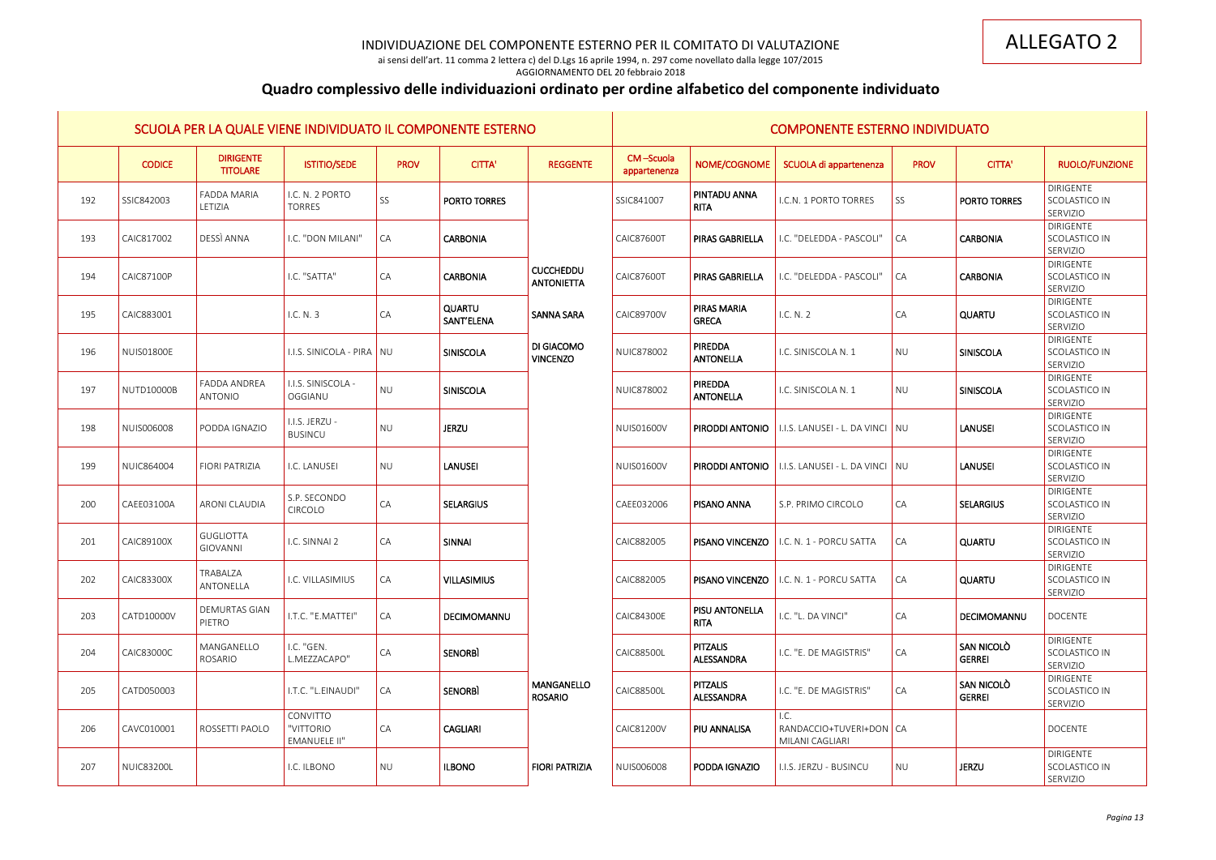ai sensi dell'art. 11 comma 2 lettera c) del D.Lgs 16 aprile 1994, n. 297 come novellato dalla legge 107/2015 AGGIORNAMENTO DEL 20 febbraio 2018

# **Quadro complessivo delle individuazioni ordinato per ordine alfabetico del componente individuato**

|     |                   | SCUOLA PER LA QUALE VIENE INDIVIDUATO IL COMPONENTE ESTERNO |                                       |             |                             |                                       |                           | <b>COMPONENTE ESTERNO INDIVIDUATO</b> |                                                                    |             |                                    |                                               |  |  |
|-----|-------------------|-------------------------------------------------------------|---------------------------------------|-------------|-----------------------------|---------------------------------------|---------------------------|---------------------------------------|--------------------------------------------------------------------|-------------|------------------------------------|-----------------------------------------------|--|--|
|     | <b>CODICE</b>     | <b>DIRIGENTE</b><br><b>TITOLARE</b>                         | <b>ISTITIO/SEDE</b>                   | <b>PROV</b> | <b>CITTA'</b>               | <b>REGGENTE</b>                       | CM-Scuola<br>appartenenza | NOME/COGNOME                          | SCUOLA di appartenenza                                             | <b>PROV</b> | <b>CITTA'</b>                      | <b>RUOLO/FUNZIONE</b>                         |  |  |
| 192 | SSIC842003        | <b>FADDA MARIA</b><br>LETIZIA                               | I.C. N. 2 PORTO<br><b>TORRES</b>      | SS          | <b>PORTO TORRES</b>         |                                       | SSIC841007                | <b>PINTADU ANNA</b><br><b>RITA</b>    | I.C.N. 1 PORTO TORRES                                              | SS          | <b>PORTO TORRES</b>                | <b>DIRIGENTE</b><br>SCOLASTICO IN<br>SERVIZIO |  |  |
| 193 | CAIC817002        | DESSÌ ANNA                                                  | I.C. "DON MILANI"                     | CA          | <b>CARBONIA</b>             |                                       | <b>CAIC87600T</b>         | <b>PIRAS GABRIELLA</b>                | I.C. "DELEDDA - PASCOLI"                                           | CA          | <b>CARBONIA</b>                    | <b>DIRIGENTE</b><br>SCOLASTICO IN<br>SERVIZIO |  |  |
| 194 | <b>CAIC87100P</b> |                                                             | I.C. "SATTA"                          | CA          | <b>CARBONIA</b>             | <b>CUCCHEDDU</b><br><b>ANTONIETTA</b> | <b>CAIC87600T</b>         | <b>PIRAS GABRIELLA</b>                | I.C. "DELEDDA - PASCOLI"                                           | CA          | <b>CARBONIA</b>                    | DIRIGENTE<br>SCOLASTICO IN<br>SERVIZIO        |  |  |
| 195 | CAIC883001        |                                                             | I.C. N. 3                             | CA          | <b>QUARTU</b><br>SANT'ELENA | <b>SANNA SARA</b>                     | <b>CAIC89700V</b>         | <b>PIRAS MARIA</b><br><b>GRECA</b>    | I.C. N. 2                                                          | CA          | <b>QUARTU</b>                      | DIRIGENTE<br>SCOLASTICO IN<br>SERVIZIO        |  |  |
| 196 | <b>NUISO1800E</b> |                                                             | <u>I.I.S. SINICOLA - PIRA I NU</u>    |             | <b>SINISCOLA</b>            | DI GIACOMO<br><b>VINCENZO</b>         | <b>NUIC878002</b>         | PIREDDA<br><b>ANTONELLA</b>           | I.C. SINISCOLA N. 1                                                | NU          | SINISCOLA                          | <b>DIRIGENTE</b><br>SCOLASTICO IN<br>SERVIZIO |  |  |
| 197 | <b>NUTD10000B</b> | <b>FADDA ANDREA</b><br>ANTONIO                              | I.I.S. SINISCOLA -<br>OGGIANU         | <b>NU</b>   | <b>SINISCOLA</b>            |                                       | <b>NUIC878002</b>         | <b>PIREDDA</b><br>ANTONELLA           | I.C. SINISCOLA N. 1                                                | NU          | SINISCOLA                          | DIRIGENTE<br>SCOLASTICO IN<br>SERVIZIO        |  |  |
| 198 | <b>NUIS006008</b> | PODDA IGNAZIO                                               | I.I.S. JERZU -<br>BUSINCU             | <b>NU</b>   | <b>JERZU</b>                |                                       | <b>NUIS01600V</b>         | <b>PIRODDI ANTONIO</b>                | I I.I.S. LANUSEI - L. DA VINCI I NU                                |             | LANUSEI                            | DIRIGENTE<br>SCOLASTICO IN<br>SERVIZIO        |  |  |
| 199 | NUIC864004        | FIORI PATRIZIA                                              | I.C. LANUSEI                          | <b>NU</b>   | <b>LANUSEI</b>              |                                       | NUIS01600V                |                                       | <mark>l piroddi antonio  </mark> I.I.s. Lanusei - L. da vinci   nu |             | LANUSEI                            | <b>DIRIGENTE</b><br>SCOLASTICO IN<br>SERVIZIO |  |  |
| 200 | CAEE03100A        | <b>ARONI CLAUDIA</b>                                        | S.P. SECONDO<br>CIRCOLO               | CA          | <b>SELARGIUS</b>            |                                       | CAEE032006                | <b>PISANO ANNA</b>                    | S.P. PRIMO CIRCOLO                                                 | CA          | <b>SELARGIUS</b>                   | <b>DIRIGENTE</b><br>SCOLASTICO IN<br>SERVIZIO |  |  |
| 201 | <b>CAIC89100X</b> | <b>GUGLIOTTA</b><br>GIOVANNI                                | I.C. SINNAI 2                         | CA          | <b>SINNAI</b>               |                                       | CAIC882005                | <b>PISANO VINCENZO</b>                | I.C. N. 1 - PORCU SATTA                                            | CA          | <b>QUARTU</b>                      | <b>DIRIGENTE</b><br>SCOLASTICO IN<br>SERVIZIO |  |  |
| 202 | <b>CAIC83300X</b> | TRABALZA<br>ANTONELLA                                       | I.C. VILLASIMIUS                      | CA          | <b>VILLASIMIUS</b>          |                                       | CAIC882005                |                                       | <b>PISANO VINCENZO</b>   I.C. N. 1 - PORCU SATTA                   | CA          | <b>QUARTU</b>                      | <b>DIRIGENTE</b><br>SCOLASTICO IN<br>SERVIZIO |  |  |
| 203 | CATD10000V        | <b>DEMURTAS GIAN</b><br>PIETRO                              | I.T.C. "E.MATTEI"                     | CA          | DECIMOMANNU                 |                                       | <b>CAIC84300E</b>         | PISU ANTONELLA<br><b>RITA</b>         | I.C. "L. DA VINCI"                                                 | CA          | DECIMOMANNU                        | <b>DOCENTE</b>                                |  |  |
| 204 | CAIC83000C        | MANGANELLO<br>ROSARIO                                       | I.C. "GEN.<br>L.MEZZACAPO"            | CA          | <b>SENORBI</b>              |                                       | <b>CAIC88500L</b>         | <b>PITZALIS</b><br>ALESSANDRA         | I.C. "E. DE MAGISTRIS"                                             | CA          | <b>SAN NICOLO</b><br><b>GERREI</b> | DIRIGENTE<br>SCOLASTICO IN<br>SERVIZIO        |  |  |
| 205 | CATD050003        |                                                             | I.T.C. "L.EINAUDI"                    | CA          | <b>SENORBI</b>              | <b>MANGANELLO</b><br><b>ROSARIO</b>   | <b>CAIC88500L</b>         | PITZALIS<br>ALESSANDRA                | I.C. "E. DE MAGISTRIS"                                             | CA          | <b>SAN NICOLO</b><br><b>GERREI</b> | <b>DIRIGENTE</b><br>SCOLASTICO IN<br>SERVIZIO |  |  |
| 206 | CAVC010001        | ROSSETTI PAOLO                                              | CONVITTO<br>"VITTORIO<br>EMANUELE II" | CA          | <b>CAGLIARI</b>             |                                       | CAIC81200V                | <b>PIU ANNALISA</b>                   | I.C.<br>RANDACCIO+TUVERI+DON   CA<br>MILANI CAGLIARI               |             |                                    | <b>DOCENTE</b>                                |  |  |
| 207 | <b>NUIC83200L</b> |                                                             | I.C. ILBONO                           | <b>NU</b>   | <b>ILBONO</b>               | <b>FIORI PATRIZIA</b>                 | NUIS006008                | PODDA IGNAZIO                         | I.I.S. JERZU - BUSINCU                                             | NU          | <b>JERZU</b>                       | DIRIGENTE<br>SCOLASTICO IN<br>SERVIZIO        |  |  |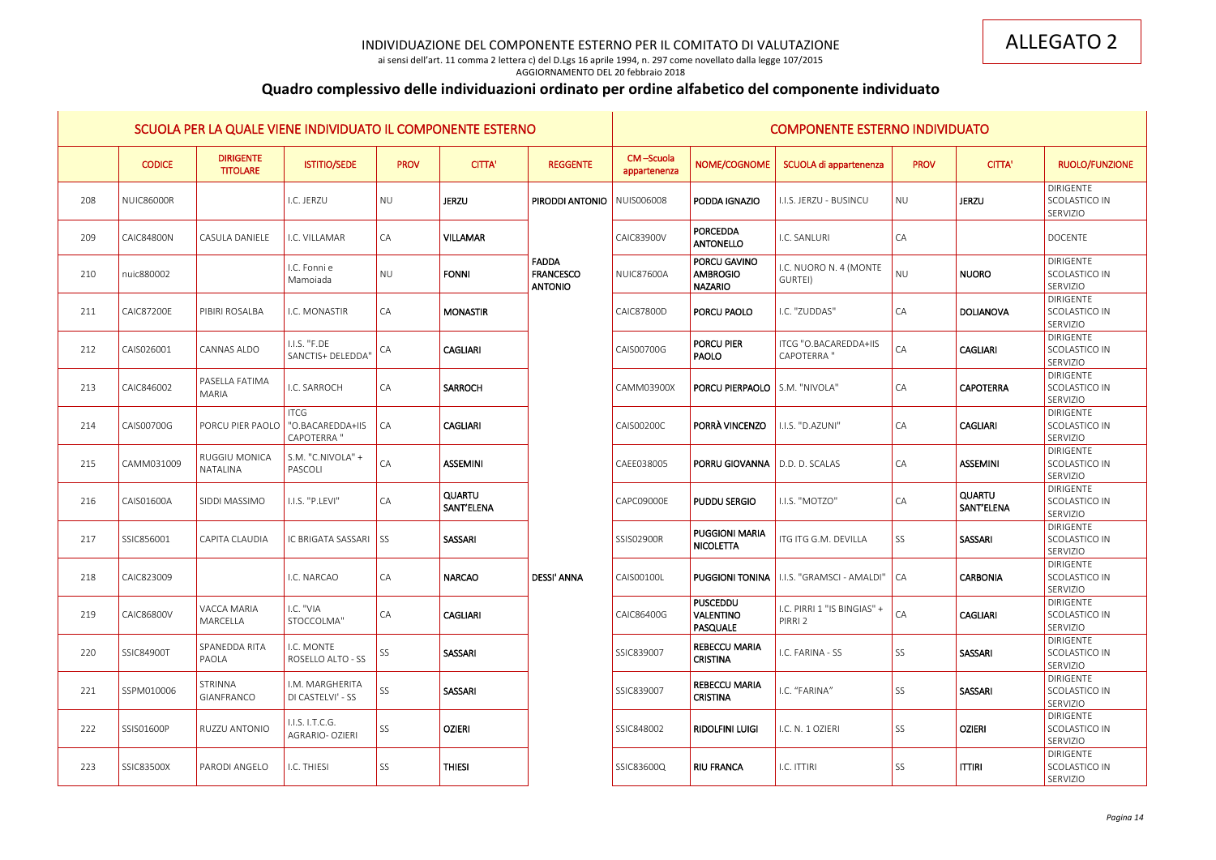ai sensi dell'art. 11 comma 2 lettera c) del D.Lgs 16 aprile 1994, n. 297 come novellato dalla legge 107/2015 AGGIORNAMENTO DEL 20 febbraio 2018

# **Quadro complessivo delle individuazioni ordinato per ordine alfabetico del componente individuato**

|     |                   | SCUOLA PER LA QUALE VIENE INDIVIDUATO IL COMPONENTE ESTERNO |                                                       |             |                             |                                                    |                           |                                                   | <b>COMPONENTE ESTERNO INDIVIDUATO</b>            |             |                             |                                               |
|-----|-------------------|-------------------------------------------------------------|-------------------------------------------------------|-------------|-----------------------------|----------------------------------------------------|---------------------------|---------------------------------------------------|--------------------------------------------------|-------------|-----------------------------|-----------------------------------------------|
|     | <b>CODICE</b>     | <b>DIRIGENTE</b><br><b>TITOLARE</b>                         | <b>ISTITIO/SEDE</b>                                   | <b>PROV</b> | <b>CITTA'</b>               | <b>REGGENTE</b>                                    | CM-Scuola<br>appartenenza | NOME/COGNOME                                      | SCUOLA di appartenenza                           | <b>PROV</b> | <b>CITTA'</b>               | <b>RUOLO/FUNZIONE</b>                         |
| 208 | NUIC86000R        |                                                             | I.C. JERZU                                            | <b>NU</b>   | <b>JERZU</b>                | <b>PIRODDI ANTONIO   NUIS006008</b>                |                           | PODDA IGNAZIO                                     | I.I.S. JERZU - BUSINCU                           | <b>NU</b>   | <b>JERZU</b>                | <b>DIRIGENTE</b><br>SCOLASTICO IN<br>SERVIZIO |
| 209 | <b>CAIC84800N</b> | CASULA DANIELE                                              | I.C. VILLAMAR                                         | CA          | <b>VILLAMAR</b>             |                                                    | <b>CAIC83900V</b>         | <b>PORCEDDA</b><br>ANTONELLO                      | I.C. SANLURI                                     | CA          |                             | <b>DOCENTE</b>                                |
| 210 | nuic880002        |                                                             | I.C. Fonni e<br>Mamoiada                              | <b>NU</b>   | <b>FONNI</b>                | <b>FADDA</b><br><b>FRANCESCO</b><br><b>ANTONIO</b> | <b>NUIC87600A</b>         | PORCU GAVINO<br><b>AMBROGIO</b><br><b>NAZARIO</b> | I.C. NUORO N. 4 (MONTE<br>GURTEI)                | <b>NU</b>   | <b>NUORO</b>                | <b>DIRIGENTE</b><br>SCOLASTICO IN<br>SERVIZIO |
| 211 | <b>CAIC87200E</b> | PIBIRI ROSALBA                                              | I.C. MONASTIR                                         | CA          | <b>MONASTIR</b>             |                                                    | CAIC87800D                | <b>PORCU PAOLO</b>                                | I.C. "ZUDDAS"                                    | CA          | DOLIANOVA                   | <b>DIRIGENTE</b><br>SCOLASTICO IN<br>SERVIZIO |
| 212 | CAIS026001        | <b>CANNAS ALDO</b>                                          | I.I.S. "F.DE<br>SANCTIS+ DELEDDA'                     | CA          | <b>CAGLIARI</b>             |                                                    | CAIS00700G                | <b>PORCU PIER</b><br>PAOLO                        | ITCG "O.BACAREDDA+IIS<br><b>CAPOTERRA</b> "      | CA          | <b>CAGLIARI</b>             | <b>DIRIGENTE</b><br>SCOLASTICO IN<br>SERVIZIO |
| 213 | CAIC846002        | PASELLA FATIMA<br>MARIA                                     | I.C. SARROCH                                          | CA          | <b>SARROCH</b>              |                                                    | CAMM03900X                | <b>PORCU PIERPAOLO</b> S.M. "NIVOLA"              |                                                  | CA          | <b>CAPOTERRA</b>            | <b>DIRIGENTE</b><br>SCOLASTICO IN<br>SERVIZIO |
| 214 | CAIS00700G        | <b>PORCU PIER PAOLO</b>                                     | <b>ITCG</b><br>"O.BACAREDDA+IIS<br><b>CAPOTERRA</b> " | CA          | <b>CAGLIARI</b>             |                                                    | CAIS00200C                | <b>PORRÀ VINCENZO</b>                             | I.I.S. "D.AZUNI"                                 | CA          | <b>CAGLIARI</b>             | <b>DIRIGENTE</b><br>SCOLASTICO IN<br>SERVIZIO |
| 215 | CAMM031009        | <b>RUGGIU MONICA</b><br>NATALINA                            | S.M. "C.NIVOLA" +<br>PASCOLI                          | CA          | <b>ASSEMINI</b>             |                                                    | CAEE038005                | <b>PORRU GIOVANNA</b>   D.D. D. SCALAS            |                                                  | CA          | <b>ASSEMINI</b>             | <b>DIRIGENTE</b><br>SCOLASTICO IN<br>SERVIZIO |
| 216 | CAIS01600A        | <b>SIDDI MASSIMO</b>                                        | I.I.S. "P.LEVI"                                       | CA          | <b>QUARTU</b><br>SANT'ELENA |                                                    | CAPC09000E                | <b>PUDDU SERGIO</b>                               | I.I.S. "MOTZO"                                   | CA          | <b>QUARTU</b><br>SANT'ELENA | <b>DIRIGENTE</b><br>SCOLASTICO IN<br>SERVIZIO |
| 217 | SSIC856001        | CAPITA CLAUDIA                                              | IC BRIGATA SASSARI                                    | I SS        | SASSARI                     |                                                    | SSIS02900R                | <b>PUGGIONI MARIA</b><br>NICOLETTA                | ITG ITG G.M. DEVILLA                             | SS          | SASSARI                     | <b>DIRIGENTE</b><br>SCOLASTICO IN<br>SERVIZIO |
| 218 | CAIC823009        |                                                             | I.C. NARCAO                                           | <b>CA</b>   | <b>NARCAO</b>               | <b>DESSI' ANNA</b>                                 | CAIS00100L                |                                                   | PUGGIONI TONINA   I.I.S. "GRAMSCI - AMALDI"   CA |             | <b>CARBONIA</b>             | <b>DIRIGENTE</b><br>SCOLASTICO IN<br>SERVIZIO |
| 219 | CAIC86800V        | VACCA MARIA<br>MARCELLA                                     | I.C. "VIA<br>STOCCOLMA"                               | CA          | <b>CAGLIARI</b>             |                                                    | CAIC86400G                | <b>PUSCEDDU</b><br>VALENTINO<br>PASQUALE          | I.C. PIRRI 1 "IS BINGIAS" +<br>PIRRI 2           | ${\sf CA}$  | <b>CAGLIARI</b>             | <b>DIRIGENTE</b><br>SCOLASTICO IN<br>SERVIZIO |
| 220 | SSIC84900T        | SPANEDDA RITA<br>PAOLA                                      | I.C. MONTE<br>ROSELLO ALTO - SS                       | SS          | SASSARI                     |                                                    | SSIC839007                | <b>REBECCU MARIA</b><br><b>CRISTINA</b>           | I.C. FARINA - SS                                 | SS          | <b>SASSARI</b>              | <b>DIRIGENTE</b><br>SCOLASTICO IN<br>SERVIZIO |
| 221 | SSPM010006        | STRINNA<br>GIANFRANCO                                       | I.M. MARGHERITA<br>DI CASTELVI' - SS                  | SS          | SASSARI                     |                                                    | SSIC839007                | <b>REBECCU MARIA</b><br><b>CRISTINA</b>           | I.C. "FARINA"                                    | SS          | SASSARI                     | <b>DIRIGENTE</b><br>SCOLASTICO IN<br>SERVIZIO |
| 222 | SSIS01600P        | RUZZU ANTONIO                                               | I.I.S. I.T.C.G.<br>AGRARIO- OZIERI                    | SS          | <b>OZIERI</b>               |                                                    | SSIC848002                | <b>RIDOLFINI LUIGI</b>                            | I.C. N. 1 OZIERI                                 | SS          | <b>OZIERI</b>               | <b>DIRIGENTE</b><br>SCOLASTICO IN<br>SERVIZIO |
| 223 | SSIC83500X        | PARODI ANGELO                                               | I.C. THIESI                                           | SS          | <b>THIESI</b>               |                                                    | SSIC83600Q                | <b>RIU FRANCA</b>                                 | I.C. ITTIRI                                      | SS          | <b>ITTIRI</b>               | <b>DIRIGENTE</b><br>SCOLASTICO IN<br>SERVIZIO |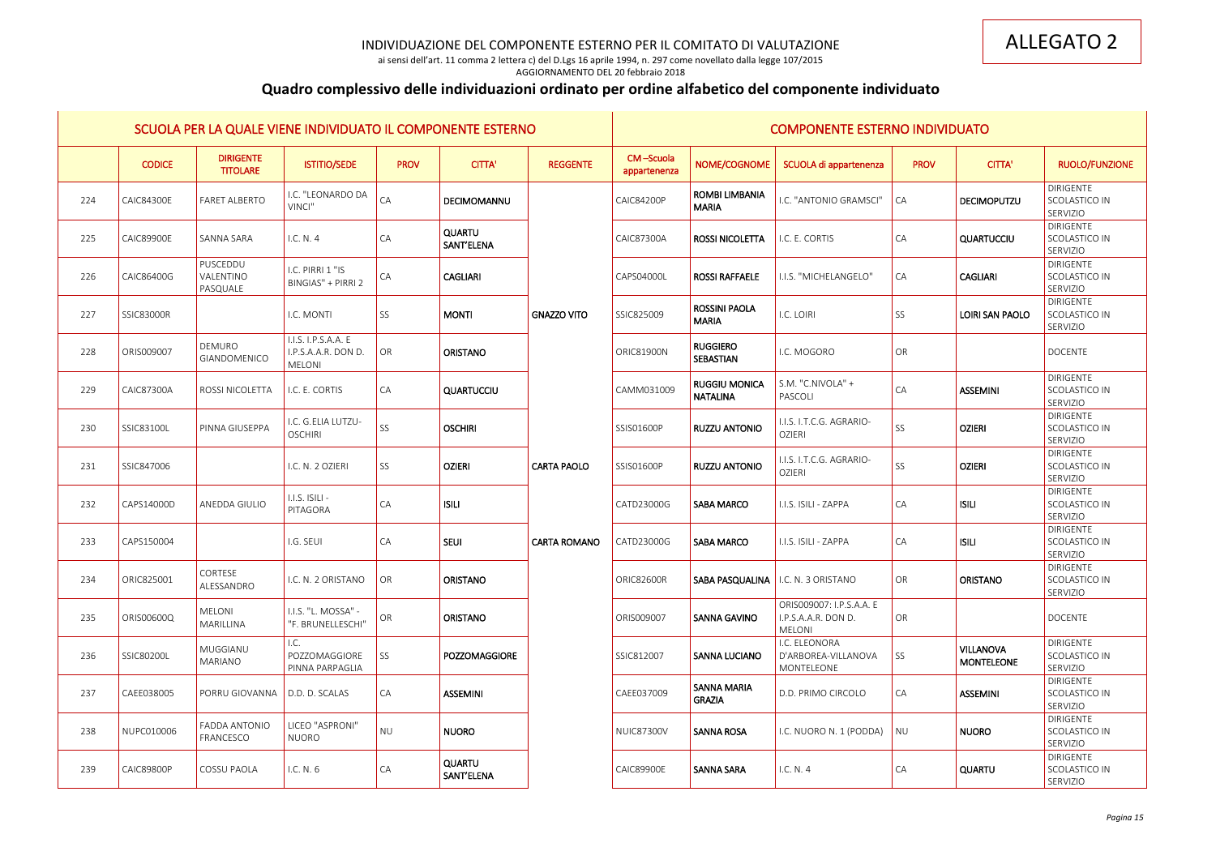ai sensi dell'art. 11 comma 2 lettera c) del D.Lgs 16 aprile 1994, n. 297 come novellato dalla legge 107/2015

### AGGIORNAMENTO DEL 20 febbraio 2018

# **Quadro complessivo delle individuazioni ordinato per ordine alfabetico del componente individuato**

|     | SCUOLA PER LA QUALE VIENE INDIVIDUATO IL COMPONENTE ESTERNO |                                     |                                                             |                 |                             |                     | <b>COMPONENTE ESTERNO INDIVIDUATO</b> |                                         |                                                                  |                 |                                       |                                                      |  |
|-----|-------------------------------------------------------------|-------------------------------------|-------------------------------------------------------------|-----------------|-----------------------------|---------------------|---------------------------------------|-----------------------------------------|------------------------------------------------------------------|-----------------|---------------------------------------|------------------------------------------------------|--|
|     | <b>CODICE</b>                                               | <b>DIRIGENTE</b><br><b>TITOLARE</b> | <b>ISTITIO/SEDE</b>                                         | <b>PROV</b>     | <b>CITTA'</b>               | <b>REGGENTE</b>     | CM-Scuola<br>appartenenza             | NOME/COGNOME                            | SCUOLA di appartenenza                                           | <b>PROV</b>     | <b>CITTA'</b>                         | <b>RUOLO/FUNZIONE</b>                                |  |
| 224 | <b>CAIC84300E</b>                                           | <b>FARET ALBERTO</b>                | I.C. "LEONARDO DA<br>VINCI"                                 | CA              | DECIMOMANNU                 |                     | <b>CAIC84200P</b>                     | <b>ROMBI LIMBANIA</b><br><b>MARIA</b>   | I.C. "ANTONIO GRAMSCI"                                           | CA              | <b>DECIMOPUTZU</b>                    | <b>DIRIGENTE</b><br><b>SCOLASTICO IN</b><br>SERVIZIO |  |
| 225 | <b>CAIC89900E</b>                                           | SANNA SARA                          | I.C. N. 4                                                   | CA              | <b>QUARTU</b><br>SANT'ELENA |                     | CAIC87300A                            | <b>ROSSI NICOLETTA</b>                  | I.C. E. CORTIS                                                   | CA              | QUARTUCCIU                            | <b>DIRIGENTE</b><br>SCOLASTICO IN<br>SERVIZIO        |  |
| 226 | CAIC86400G                                                  | PUSCEDDU<br>VALENTINO<br>PASQUALE   | I.C. PIRRI 1 "IS<br><b>BINGIAS" + PIRRI 2</b>               | <b>CA</b>       | <b>CAGLIARI</b>             |                     | CAPS04000L                            | <b>ROSSI RAFFAELE</b>                   | I.I.S. "MICHELANGELO"                                            | CA              | <b>CAGLIARI</b>                       | <b>DIRIGENTE</b><br>SCOLASTICO IN<br>SERVIZIO        |  |
| 227 | <b>SSIC83000R</b>                                           |                                     | I.C. MONTI                                                  | SS              | <b>MONTI</b>                | <b>GNAZZO VITO</b>  | SSIC825009                            | <b>ROSSINI PAOLA</b><br><b>MARIA</b>    | I.C. LOIRI                                                       | SS              | <b>LOIRI SAN PAOLO</b>                | <b>DIRIGENTE</b><br>SCOLASTICO IN<br>SERVIZIO        |  |
| 228 | ORIS009007                                                  | DEMURO<br><b>GIANDOMENICO</b>       | I.I.S. I.P.S.A.A. E<br>I.P.S.A.A.R. DON D.<br><b>MELONI</b> | OR              | <b>ORISTANO</b>             |                     | <b>ORIC81900N</b>                     | <b>RUGGIERO</b><br><b>SEBASTIAN</b>     | I.C. MOGORO                                                      | OR              |                                       | <b>DOCENTE</b>                                       |  |
| 229 | CAIC87300A                                                  | ROSSI NICOLETTA                     | I.C. E. CORTIS                                              | <b>CA</b>       | QUARTUCCIU                  |                     | CAMM031009                            | <b>RUGGIU MONICA</b><br><b>NATALINA</b> | S.M. "C.NIVOLA" +<br>PASCOLI                                     | CA              | ASSEMINI                              | <b>DIRIGENTE</b><br>SCOLASTICO IN<br>SERVIZIO        |  |
| 230 | SSIC83100L                                                  | PINNA GIUSEPPA                      | I.C. G.ELIA LUTZU-<br><b>OSCHIRI</b>                        | SS              | <b>OSCHIRI</b>              |                     | SSIS01600P                            | <b>RUZZU ANTONIO</b>                    | I.I.S. I.T.C.G. AGRARIO-<br><b>OZIERI</b>                        | SS              | <b>OZIERI</b>                         | <b>DIRIGENTE</b><br>SCOLASTICO IN<br>SERVIZIO        |  |
| 231 | SSIC847006                                                  |                                     | I.C. N. 2 OZIERI                                            | SS              | <b>OZIERI</b>               | CARTA PAOLO         | SSIS01600P                            | <b>RUZZU ANTONIO</b>                    | I.I.S. I.T.C.G. AGRARIO-<br><b>OZIERI</b>                        | SS              | <b>OZIERI</b>                         | DIRIGENTE<br>SCOLASTICO IN<br>SERVIZIO               |  |
| 232 | CAPS14000D                                                  | ANEDDA GIULIO                       | I.I.S. ISILI -<br>PITAGORA                                  | CA              | <b>ISILI</b>                |                     | CATD23000G                            | <b>SABA MARCO</b>                       | I.I.S. ISILI - ZAPPA                                             | $\overline{CA}$ | <b>ISILI</b>                          | DIRIGENTE<br>SCOLASTICO IN<br>SERVIZIO               |  |
| 233 | CAPS150004                                                  |                                     | I.G. SEUI                                                   | <b>CA</b>       | <b>SEUI</b>                 | <b>CARTA ROMANO</b> | CATD23000G                            | <b>SABA MARCO</b>                       | I.I.S. ISILI - ZAPPA                                             | $\overline{CA}$ | <b>ISILI</b>                          | DIRIGENTE<br>SCOLASTICO IN<br>SERVIZIO               |  |
| 234 | ORIC825001                                                  | CORTESE<br>ALESSANDRO               | I.C. N. 2 ORISTANO                                          | $\overline{OR}$ | <b>ORISTANO</b>             |                     | <b>ORIC82600R</b>                     | SABA PASQUALINA   I.C. N. 3 ORISTANO    |                                                                  | OR              | <b>ORISTANO</b>                       | <b>DIRIGENTE</b><br>SCOLASTICO IN<br>SERVIZIO        |  |
| 235 | ORIS00600Q                                                  | <b>MELONI</b><br>MARILLINA          | I.I.S. "L. MOSSA" -<br>"F. BRUNELLESCHI"                    | OR              | <b>ORISTANO</b>             |                     | ORIS009007                            | <b>SANNA GAVINO</b>                     | ORIS009007: I.P.S.A.A. E<br>I.P.S.A.A.R. DON D.<br><b>MELONI</b> | OR              |                                       | <b>DOCENTE</b>                                       |  |
| 236 | SSIC80200L                                                  | MUGGIANU<br>MARIANO                 | I.C.<br>POZZOMAGGIORE<br>PINNA PARPAGLIA                    | SS              | POZZOMAGGIORE               |                     | SSIC812007                            | <b>SANNA LUCIANO</b>                    | I.C. ELEONORA<br>D'ARBOREA-VILLANOVA<br>MONTELEONE               | SS              | <b>VILLANOVA</b><br><b>MONTELEONE</b> | <b>DIRIGENTE</b><br>SCOLASTICO IN<br>SERVIZIO        |  |
| 237 | CAEE038005                                                  | PORRU GIOVANNA                      | D.D. D. SCALAS                                              | <b>CA</b>       | <b>ASSEMINI</b>             |                     | CAEE037009                            | <b>SANNA MARIA</b><br><b>GRAZIA</b>     | D.D. PRIMO CIRCOLO                                               | $\overline{CA}$ | <b>ASSEMINI</b>                       | <b>DIRIGENTE</b><br>SCOLASTICO IN<br>SERVIZIO        |  |
| 238 | NUPC010006                                                  | FADDA ANTONIO<br>FRANCESCO          | LICEO "ASPRONI"<br><b>NUORO</b>                             | <b>NU</b>       | <b>NUORO</b>                |                     | <b>NUIC87300V</b>                     | <b>SANNA ROSA</b>                       | I.C. NUORO N. 1 (PODDA)                                          | NU              | <b>NUORO</b>                          | DIRIGENTE<br>SCOLASTICO IN<br>SERVIZIO               |  |
| 239 | <b>CAIC89800P</b>                                           | COSSU PAOLA                         | I.C. N. 6                                                   | CA              | <b>QUARTU</b><br>SANT'ELENA |                     | <b>CAIC89900E</b>                     | <b>SANNA SARA</b>                       | IC. N. 4                                                         | $\overline{CA}$ | <b>QUARTU</b>                         | DIRIGENTE<br>SCOLASTICO IN<br>SERVIZIO               |  |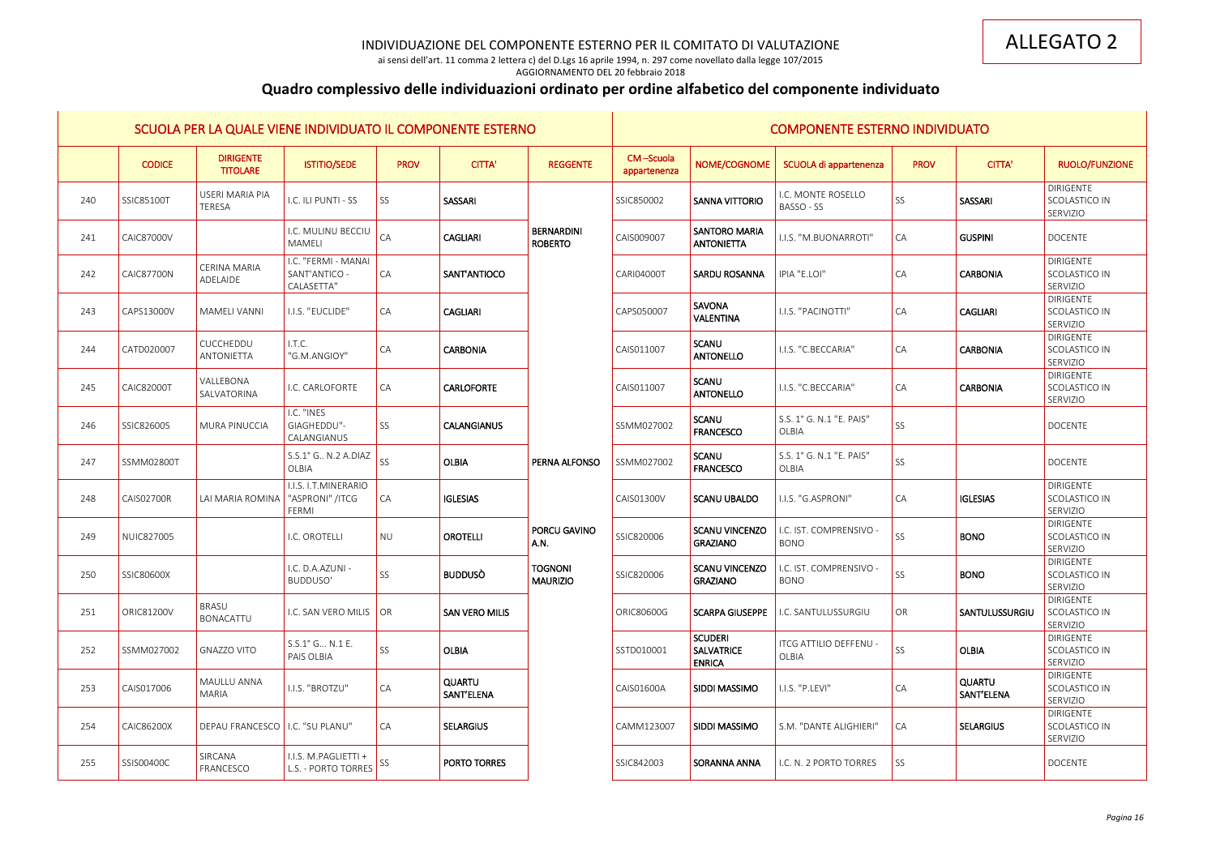ai sensi dell'art. 11 comma 2 lettera c) del D.Lgs 16 aprile 1994, n. 297 come novellato dalla legge 107/2015 AGGIORNAMENTO DEL 20 febbraio 2018

# **Quadro complessivo delle individuazioni ordinato per ordine alfabetico del componente individuato**

| SCUOLA PER LA QUALE VIENE INDIVIDUATO IL COMPONENTE ESTERNO |                   |                                     |                                                    |             |                       | <b>COMPONENTE ESTERNO INDIVIDUATO</b> |                           |                                                      |                                                                |                 |                             |                                               |
|-------------------------------------------------------------|-------------------|-------------------------------------|----------------------------------------------------|-------------|-----------------------|---------------------------------------|---------------------------|------------------------------------------------------|----------------------------------------------------------------|-----------------|-----------------------------|-----------------------------------------------|
|                                                             | <b>CODICE</b>     | <b>DIRIGENTE</b><br><b>TITOLARE</b> | <b>ISTITIO/SEDE</b>                                | <b>PROV</b> | <b>CITTA'</b>         | <b>REGGENTE</b>                       | CM-Scuola<br>appartenenza | NOME/COGNOME                                         | SCUOLA di appartenenza                                         | <b>PROV</b>     | <b>CITTA'</b>               | RUOLO/FUNZIONE                                |
| 240                                                         | SSIC85100T        | <b>USERI MARIA PIA</b><br>TERESA    | I.C. ILI PUNTI - SS                                | SS          | <b>SASSARI</b>        |                                       | SSIC850002                | <b>SANNA VITTORIO</b>                                | I.C. MONTE ROSELLO<br>BASSO - SS                               | SS              | SASSARI                     | <b>DIRIGENTE</b><br>SCOLASTICO IN<br>SERVIZIO |
| 241                                                         | CAIC87000V        |                                     | I.C. MULINU BECCIU<br>MAMELI                       | CA          | <b>CAGLIARI</b>       | <b>BERNARDINI</b><br><b>ROBERTO</b>   | CAIS009007                | <b>SANTORO MARIA</b><br><b>ANTONIETTA</b>            | I.I.S. "M.BUONARROTI"                                          | <b>CA</b>       | <b>GUSPINI</b>              | <b>DOCENTE</b>                                |
| 242                                                         | <b>CAIC87700N</b> | <b>CERINA MARIA</b><br>ADELAIDE     | I.C. "FERMI - MANAI<br>SANT'ANTICO -<br>CALASETTA" | <b>CA</b>   | SANT'ANTIOCO          |                                       | <b>CARI04000T</b>         | <b>SARDU ROSANNA</b>                                 | IPIA "E.LOI"                                                   | $\overline{CA}$ | <b>CARBONIA</b>             | DIRIGENTE<br>SCOLASTICO IN<br>SERVIZIO        |
| 243                                                         | CAPS13000V        | <b>MAMELI VANNI</b>                 | I.I.S. "EUCLIDE"                                   | <b>CA</b>   | <b>CAGLIARI</b>       |                                       | CAPS050007                | <b>SAVONA</b><br><b>VALENTINA</b>                    | I.I.S. "PACINOTTI"                                             | CA              | <b>CAGLIARI</b>             | <b>DIRIGENTE</b><br>SCOLASTICO IN<br>SERVIZIO |
| 244                                                         | CATD020007        | CUCCHEDDU<br>ANTONIETTA             | I.T.C.<br>"G.M.ANGIOY"                             | <b>CA</b>   | <b>CARBONIA</b>       |                                       | CAIS011007                | <b>SCANU</b><br><b>ANTONELLO</b>                     | I.I.S. "C.BECCARIA"                                            | $\overline{CA}$ | <b>CARBONIA</b>             | <b>DIRIGENTE</b><br>SCOLASTICO IN<br>SERVIZIO |
| 245                                                         | <b>CAIC82000T</b> | VALLEBONA<br>SALVATORINA            | I.C. CARLOFORTE                                    | <b>CA</b>   | <b>CARLOFORTE</b>     |                                       | CAIS011007                | <b>SCANU</b><br><b>ANTONELLO</b>                     | I.I.S. "C.BECCARIA"                                            | $\overline{CA}$ | <b>CARBONIA</b>             | <b>DIRIGENTE</b><br>SCOLASTICO IN<br>SERVIZIO |
| 246                                                         | SSIC826005        | <b>MURA PINUCCIA</b>                | I.C. "INES<br>GIAGHEDDU"-<br>CALANGIANUS           | SS          | <b>CALANGIANUS</b>    |                                       | SSMM027002                | <b>SCANU</b><br><b>FRANCESCO</b>                     | S.S. 1° G. N.1 "E. PAIS"<br><b>OLBIA</b>                       | SS              |                             | <b>DOCENTE</b>                                |
| 247                                                         | <b>SSMM02800T</b> |                                     | S.S.1° G N.2 A.DIAZ<br>OLBIA                       | <b>SS</b>   | <b>OLBIA</b>          | PERNA ALFONSO                         | SSMM027002                | <b>SCANU</b><br><b>FRANCESCO</b>                     | S.S. 1° G. N.1 "E. PAIS"<br><b>OLBIA</b>                       | SS              |                             | <b>DOCENTE</b>                                |
| 248                                                         | <b>CAIS02700R</b> | <b>LAI MARIA ROMINA</b>             | I.I.S. I.T.MINERARIO<br>"ASPRONI" /ITCG<br>FERMI   | $1CA$       | <b>IGLESIAS</b>       |                                       | CAIS01300V                | <b>SCANU UBALDO</b>                                  | I.I.S. "G.ASPRONI"                                             | $\overline{CA}$ | <b>IGLESIAS</b>             | <b>DIRIGENTE</b><br>SCOLASTICO IN<br>SERVIZIO |
| 249                                                         | NUIC827005        |                                     | I.C. OROTELLI                                      | <b>NU</b>   | <b>OROTELLI</b>       | PORCU GAVINO<br>A.N.                  | SSIC820006                | <b>SCANU VINCENZO</b><br><b>GRAZIANO</b>             | .C. IST. COMPRENSIVO<br><b>BONO</b>                            | SS              | <b>BONO</b>                 | <b>DIRIGENTE</b><br>SCOLASTICO IN<br>SERVIZIO |
| 250                                                         | SSIC80600X        |                                     | I.C. D.A.AZUNI -<br>BUDDUSO'                       | <b>SS</b>   | <b>BUDDUSÒ</b>        | Tognoni<br><b>MAURIZIO</b>            | SSIC820006                | <b>GRAZIANO</b>                                      | <b>SCANU VINCENZO</b>   I.C. IST. COMPRENSIVO -<br><b>BONO</b> | SS              | <b>BONO</b>                 | <b>DIRIGENTE</b><br>SCOLASTICO IN<br>SERVIZIO |
| 251                                                         | <b>ORIC81200V</b> | <b>BRASU</b><br><b>BONACATTU</b>    | I.C. SAN VERO MILIS   OR                           |             | <b>SAN VERO MILIS</b> |                                       | ORIC80600G                | <b>SCARPA GIUSEPPE</b>                               | I.C. SANTULUSSURGIU                                            | OR              | SANTULUSSURGIU              | <b>DIRIGENTE</b><br>SCOLASTICO IN<br>SERVIZIO |
| 252                                                         | SSMM027002        | <b>GNAZZO VITO</b>                  | S.S.1° G N.1 E.<br>PAIS OLBIA                      | SS          | <b>OLBIA</b>          |                                       | SSTD010001                | <b>SCUDERI</b><br><b>SALVATRICE</b><br><b>ENRICA</b> | <b>ITCG ATTILIO DEFFENU -</b><br>OLBIA                         | SS              | <b>OLBIA</b>                | DIRIGENTE<br>SCOLASTICO IN<br>SERVIZIO        |
| 253                                                         | CAIS017006        | MAULLU ANNA<br>MARIA                | I.I.S. "BROTZU"                                    | <b>CA</b>   | QUARTU<br>SANT'ELENA  |                                       | CAIS01600A                | SIDDI MASSIMO                                        | I.I.S. "P.LEVI"                                                | $\overline{CA}$ | <b>QUARTU</b><br>SANT'ELENA | <b>DIRIGENTE</b><br>SCOLASTICO IN<br>SERVIZIO |
| 254                                                         | CAIC86200X        | DEPAU FRANCESCO   I.C. "SU PLANU"   |                                                    | CA          | <b>SELARGIUS</b>      |                                       | CAMM123007                | SIDDI MASSIMO                                        | S.M. "DANTE ALIGHIERI"                                         | $\overline{CA}$ | <b>SELARGIUS</b>            | <b>DIRIGENTE</b><br>SCOLASTICO IN<br>SERVIZIO |
| 255                                                         | SSIS00400C        | SIRCANA<br>FRANCESCO                | I.I.S. M.PAGLIETTI +<br>L.S. - PORTO TORRES        | SS          | PORTO TORRES          |                                       | SSIC842003                | SORANNA ANNA                                         | I.C. N. 2 PORTO TORRES                                         | SS <sup></sup>  |                             | <b>DOCENTE</b>                                |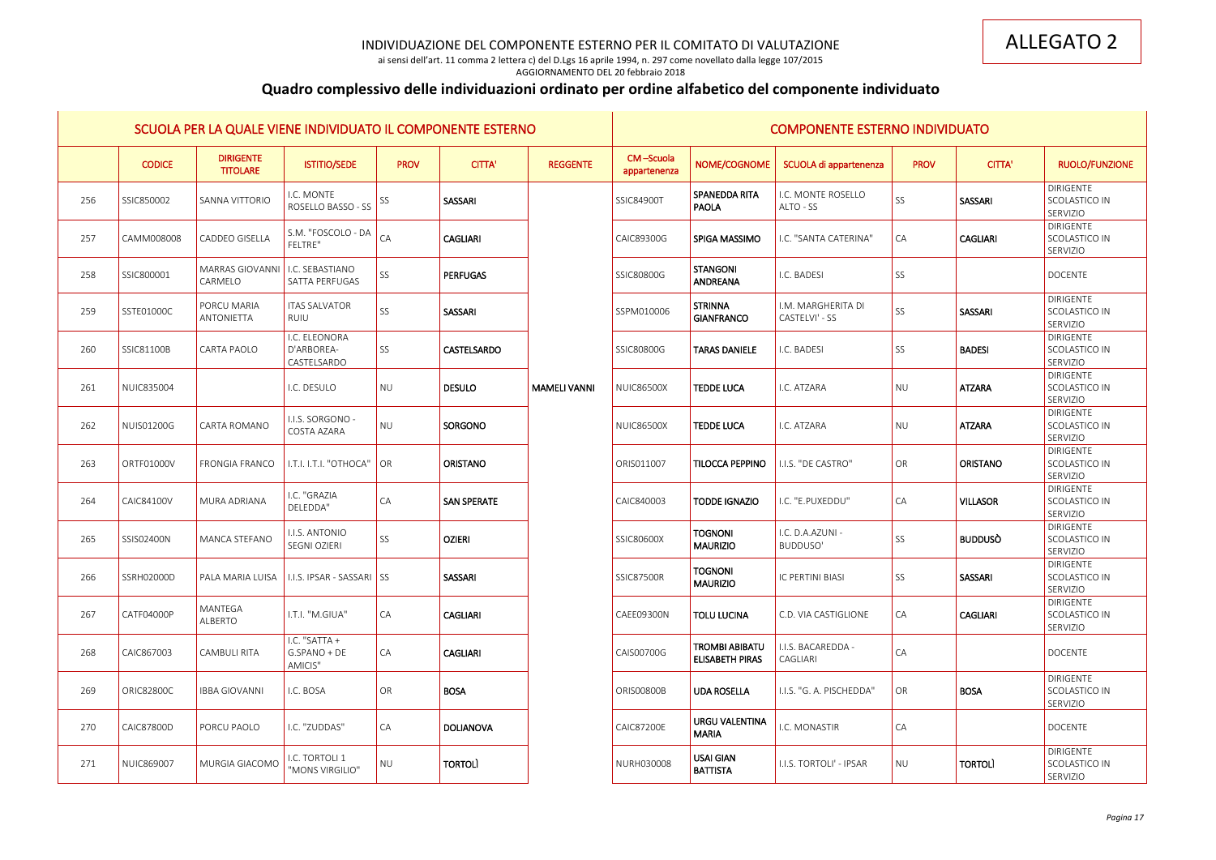ai sensi dell'art. 11 comma 2 lettera c) del D.Lgs 16 aprile 1994, n. 297 come novellato dalla legge 107/2015 AGGIORNAMENTO DEL 20 febbraio 2018

# **Quadro complessivo delle individuazioni ordinato per ordine alfabetico del componente individuato**

|     | SCUOLA PER LA QUALE VIENE INDIVIDUATO IL COMPONENTE ESTERNO |                                     |                                            |                       |                    |                     |                           |                                                 | <b>COMPONENTE ESTERNO INDIVIDUATO</b> |             |                 |                                               |
|-----|-------------------------------------------------------------|-------------------------------------|--------------------------------------------|-----------------------|--------------------|---------------------|---------------------------|-------------------------------------------------|---------------------------------------|-------------|-----------------|-----------------------------------------------|
|     | <b>CODICE</b>                                               | <b>DIRIGENTE</b><br><b>TITOLARE</b> | <b>ISTITIO/SEDE</b>                        | <b>PROV</b>           | <b>CITTA'</b>      | <b>REGGENTE</b>     | CM-Scuola<br>appartenenza | NOME/COGNOME                                    | SCUOLA di appartenenza                | <b>PROV</b> | <b>CITTA'</b>   | RUOLO/FUNZIONE                                |
| 256 | SSIC850002                                                  | <b>SANNA VITTORIO</b>               | I.C. MONTE<br>ROSELLO BASSO - SS           | SS                    | SASSARI            |                     | SSIC84900T                | SPANEDDA RITA<br><b>PAOLA</b>                   | I.C. MONTE ROSELLO<br>ALTO - SS       | <b>SS</b>   | SASSARI         | <b>DIRIGENTE</b><br>SCOLASTICO IN<br>SERVIZIO |
| 257 | CAMM008008                                                  | <b>CADDEO GISELLA</b>               | S.M. "FOSCOLO - DA<br>FELTRE"              | CA                    | <b>CAGLIARI</b>    |                     | CAIC89300G                | SPIGA MASSIMO                                   | I.C. "SANTA CATERINA"                 | <b>CA</b>   | <b>CAGLIARI</b> | <b>DIRIGENTE</b><br>SCOLASTICO IN<br>SERVIZIO |
| 258 | SSIC800001                                                  | MARRAS GIOVANNI<br>CARMELO          | I.C. SEBASTIANO<br>SATTA PERFUGAS          | SS                    | <b>PERFUGAS</b>    |                     | SSIC80800G                | STANGONI<br>ANDREANA                            | I.C. BADESI                           | <b>SS</b>   |                 | <b>DOCENTE</b>                                |
| 259 | SSTE01000C                                                  | PORCU MARIA<br>ANTONIETTA           | <b>ITAS SALVATOR</b><br>RUIU               | SS                    | SASSARI            |                     | SSPM010006                | STRINNA<br>GIANFRANCO                           | I.M. MARGHERITA DI<br>CASTELVI' - SS  | <b>SS</b>   | SASSARI         | <b>DIRIGENTE</b><br>SCOLASTICO IN<br>SERVIZIO |
| 260 | SSIC81100B                                                  | CARTA PAOLO                         | I.C. ELEONORA<br>D'ARBOREA-<br>CASTELSARDO | SS                    | <b>CASTELSARDO</b> |                     | SSIC80800G                | <b>TARAS DANIELE</b>                            | I.C. BADESI                           | <b>SS</b>   | <b>BADESI</b>   | <b>DIRIGENTE</b><br>SCOLASTICO IN<br>SERVIZIO |
| 261 | NUIC835004                                                  |                                     | I.C. DESULO                                | <b>NU</b>             | <b>DESULO</b>      | <b>MAMELI VANNI</b> | <b>NUIC86500X</b>         | <b>TEDDE LUCA</b>                               | I.C. ATZARA                           | NU          | <b>ATZARA</b>   | <b>DIRIGENTE</b><br>SCOLASTICO IN<br>SERVIZIO |
| 262 | <b>NUIS01200G</b>                                           | CARTA ROMANO                        | I.I.S. SORGONO -<br>COSTA AZARA            | <b>NU</b>             | SORGONO            |                     | <b>NUIC86500X</b>         | <b>TEDDE LUCA</b>                               | I.C. ATZARA                           | NU          | <b>ATZARA</b>   | <b>DIRIGENTE</b><br>SCOLASTICO IN<br>SERVIZIO |
| 263 | ORTF01000V                                                  | <b>FRONGIA FRANCO</b>               | I.T.I. I.T.I. "OTHOCA"                     | $\overline{\bigcirc}$ | <b>ORISTANO</b>    |                     | ORIS011007                | <b>TILOCCA PEPPINO</b>                          | I.I.S. "DE CASTRO"                    | OR          | <b>ORISTANO</b> | <b>DIRIGENTE</b><br>SCOLASTICO IN<br>SERVIZIO |
| 264 | <b>CAIC84100V</b>                                           | MURA ADRIANA                        | I.C. "GRAZIA<br>DELEDDA"                   | CA                    | <b>SAN SPERATE</b> |                     | CAIC840003                | <b>TODDE IGNAZIO</b>                            | I.C. "E.PUXEDDU"                      | <b>CA</b>   | <b>VILLASOR</b> | <b>DIRIGENTE</b><br>SCOLASTICO IN<br>SERVIZIO |
| 265 | SSIS02400N                                                  | <b>MANCA STEFANO</b>                | I.I.S. ANTONIO<br>SEGNI OZIERI             | SS                    | <b>OZIERI</b>      |                     | SSIC80600X                | <b>TOGNONI</b><br><b>MAURIZIO</b>               | I.C. D.A.AZUNI -<br>BUDDUSO'          | <b>SS</b>   | <b>BUDDUSO</b>  | <b>DIRIGENTE</b><br>SCOLASTICO IN<br>SERVIZIO |
| 266 | SSRH02000D                                                  | PALA MARIA LUISA                    | I.I.S. IPSAR - SASSARI SS                  |                       | SASSARI            |                     | <b>SSIC87500R</b>         | <b>TOGNONI</b><br><b>MAURIZIO</b>               | IC PERTINI BIASI                      | SS          | SASSARI         | DIRIGENTE<br>SCOLASTICO IN<br>SERVIZIO        |
| 267 | CATF04000P                                                  | MANTEGA<br>ALBERTO                  | I.T.I. "M.GIUA"                            | CA                    | <b>CAGLIARI</b>    |                     | CAEE09300N                | <b>TOLU LUCINA</b>                              | C.D. VIA CASTIGLIONE                  | CA          | <b>CAGLIARI</b> | DIRIGENTE<br>SCOLASTICO IN<br>SERVIZIO        |
| 268 | CAIC867003                                                  | <b>CAMBULI RITA</b>                 | I.C. "SATTA +<br>$G.SPANO + DE$<br>AMICIS" | CA                    | <b>CAGLIARI</b>    |                     | CAIS00700G                | <b>TROMBI ABIBATU</b><br><b>ELISABETH PIRAS</b> | I.I.S. BACAREDDA -<br>CAGLIARI        | CA          |                 | <b>DOCENTE</b>                                |
| 269 | <b>ORIC82800C</b>                                           | <b>IBBA GIOVANNI</b>                | I.C. BOSA                                  | OR                    | <b>BOSA</b>        |                     | <b>ORIS00800B</b>         | <b>UDA ROSELLA</b>                              | I.I.S. "G. A. PISCHEDDA"              | OR          | <b>BOSA</b>     | DIRIGENTE<br>SCOLASTICO IN<br>SERVIZIO        |
| 270 | CAIC87800D                                                  | PORCU PAOLO                         | I.C. "ZUDDAS"                              | CA                    | <b>DOLIANOVA</b>   |                     | <b>CAIC87200E</b>         | <b>URGU VALENTINA</b><br><b>MARIA</b>           | I.C. MONASTIR                         | CA          |                 | <b>DOCENTE</b>                                |
| 271 | NUIC869007                                                  | MURGIA GIACOMO                      | I.C. TORTOLI 1<br>"MONS VIRGILIO"          | <b>NU</b>             | <b>TORTOLI</b>     |                     | NURH030008                | <b>USAI GIAN</b><br><b>BATTISTA</b>             | I.I.S. TORTOLI' - IPSAR               | NU          | <b>TORTOLI</b>  | <b>DIRIGENTE</b><br>SCOLASTICO IN<br>SERVIZIO |